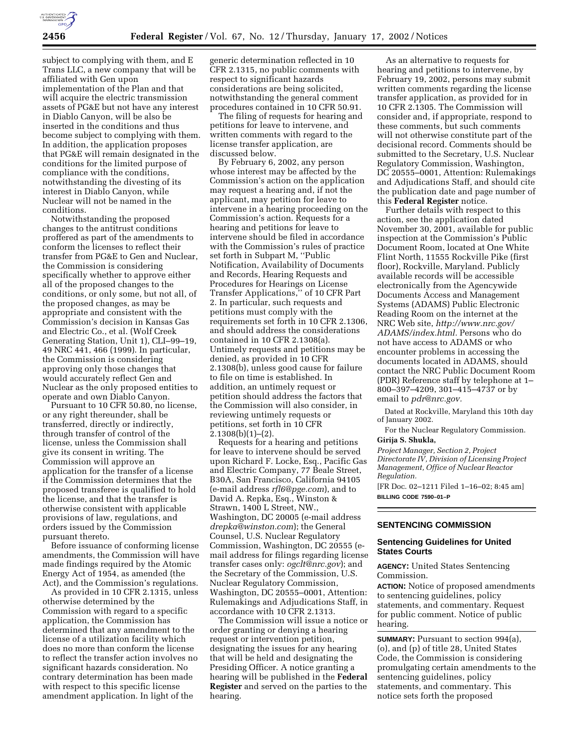

subject to complying with them, and E Trans LLC, a new company that will be affiliated with Gen upon implementation of the Plan and that will acquire the electric transmission assets of PG&E but not have any interest in Diablo Canyon, will be also be inserted in the conditions and thus become subject to complying with them. In addition, the application proposes that PG&E will remain designated in the conditions for the limited purpose of compliance with the conditions, notwithstanding the divesting of its interest in Diablo Canyon, while Nuclear will not be named in the conditions.

Notwithstanding the proposed changes to the antitrust conditions proffered as part of the amendments to conform the licenses to reflect their transfer from PG&E to Gen and Nuclear, the Commission is considering specifically whether to approve either all of the proposed changes to the conditions, or only some, but not all, of the proposed changes, as may be appropriate and consistent with the Commission's decision in Kansas Gas and Electric Co., et al. (Wolf Creek Generating Station, Unit 1), CLI–99–19, 49 NRC 441, 466 (1999). In particular, the Commission is considering approving only those changes that would accurately reflect Gen and Nuclear as the only proposed entities to operate and own Diablo Canyon.

Pursuant to 10 CFR 50.80, no license, or any right thereunder, shall be transferred, directly or indirectly, through transfer of control of the license, unless the Commission shall give its consent in writing. The Commission will approve an application for the transfer of a license if the Commission determines that the proposed transferee is qualified to hold the license, and that the transfer is otherwise consistent with applicable provisions of law, regulations, and orders issued by the Commission pursuant thereto.

Before issuance of conforming license amendments, the Commission will have made findings required by the Atomic Energy Act of 1954, as amended (the Act), and the Commission's regulations.

As provided in 10 CFR 2.1315, unless otherwise determined by the Commission with regard to a specific application, the Commission has determined that any amendment to the license of a utilization facility which does no more than conform the license to reflect the transfer action involves no significant hazards consideration. No contrary determination has been made with respect to this specific license amendment application. In light of the

generic determination reflected in 10 CFR 2.1315, no public comments with respect to significant hazards considerations are being solicited, notwithstanding the general comment procedures contained in 10 CFR 50.91.

The filing of requests for hearing and petitions for leave to intervene, and written comments with regard to the license transfer application, are discussed below.

By February 6, 2002, any person whose interest may be affected by the Commission's action on the application may request a hearing and, if not the applicant, may petition for leave to intervene in a hearing proceeding on the Commission's action. Requests for a hearing and petitions for leave to intervene should be filed in accordance with the Commission's rules of practice set forth in Subpart M, ''Public Notification, Availability of Documents and Records, Hearing Requests and Procedures for Hearings on License Transfer Applications,'' of 10 CFR Part 2. In particular, such requests and petitions must comply with the requirements set forth in 10 CFR 2.1306, and should address the considerations contained in 10 CFR 2.1308(a). Untimely requests and petitions may be denied, as provided in 10 CFR 2.1308(b), unless good cause for failure to file on time is established. In addition, an untimely request or petition should address the factors that the Commission will also consider, in reviewing untimely requests or petitions, set forth in 10 CFR  $2.1308(b)(1)–(2)$ .

Requests for a hearing and petitions for leave to intervene should be served upon Richard F. Locke, Esq., Pacific Gas and Electric Company, 77 Beale Street, B30A, San Francisco, California 94105 (e-mail address *rfl6@pge.com*), and to David A. Repka, Esq., Winston & Strawn, 1400 L Street, NW., Washington, DC 20005 (e-mail address *drepka@winston.com*); the General Counsel, U.S. Nuclear Regulatory Commission, Washington, DC 20555 (email address for filings regarding license transfer cases only: *ogclt@nrc.gov*); and the Secretary of the Commission, U.S. Nuclear Regulatory Commission, Washington, DC 20555–0001, Attention: Rulemakings and Adjudications Staff, in accordance with 10 CFR 2.1313.

The Commission will issue a notice or order granting or denying a hearing request or intervention petition, designating the issues for any hearing that will be held and designating the Presiding Officer. A notice granting a hearing will be published in the **Federal Register** and served on the parties to the hearing.

As an alternative to requests for hearing and petitions to intervene, by February 19, 2002, persons may submit written comments regarding the license transfer application, as provided for in 10 CFR 2.1305. The Commission will consider and, if appropriate, respond to these comments, but such comments will not otherwise constitute part of the decisional record. Comments should be submitted to the Secretary, U.S. Nuclear Regulatory Commission, Washington, DC 20555–0001, Attention: Rulemakings and Adjudications Staff, and should cite the publication date and page number of this **Federal Register** notice.

Further details with respect to this action, see the application dated November 30, 2001, available for public inspection at the Commission's Public Document Room, located at One White Flint North, 11555 Rockville Pike (first floor), Rockville, Maryland. Publicly available records will be accessible electronically from the Agencywide Documents Access and Management Systems (ADAMS) Public Electronic Reading Room on the internet at the NRC Web site, *http://www.nrc.gov/ ADAMS/index.html.* Persons who do not have access to ADAMS or who encounter problems in accessing the documents located in ADAMS, should contact the NRC Public Document Room (PDR) Reference staff by telephone at 1– 800–397–4209, 301–415–4737 or by email to *pdr@nrc.gov.*

Dated at Rockville, Maryland this 10th day of January 2002.

For the Nuclear Regulatory Commission. **Girija S. Shukla,**

*Project Manager, Section 2, Project Directorate IV, Division of Licensing Project Management, Office of Nuclear Reactor Regulation.* [FR Doc. 02–1211 Filed 1–16–02; 8:45 am]

**BILLING CODE 7590–01–P**

# **SENTENCING COMMISSION**

# **Sentencing Guidelines for United States Courts**

**AGENCY:** United States Sentencing Commission.

**ACTION:** Notice of proposed amendments to sentencing guidelines, policy statements, and commentary. Request for public comment. Notice of public hearing.

**SUMMARY:** Pursuant to section 994(a), (o), and (p) of title 28, United States Code, the Commission is considering promulgating certain amendments to the sentencing guidelines, policy statements, and commentary. This notice sets forth the proposed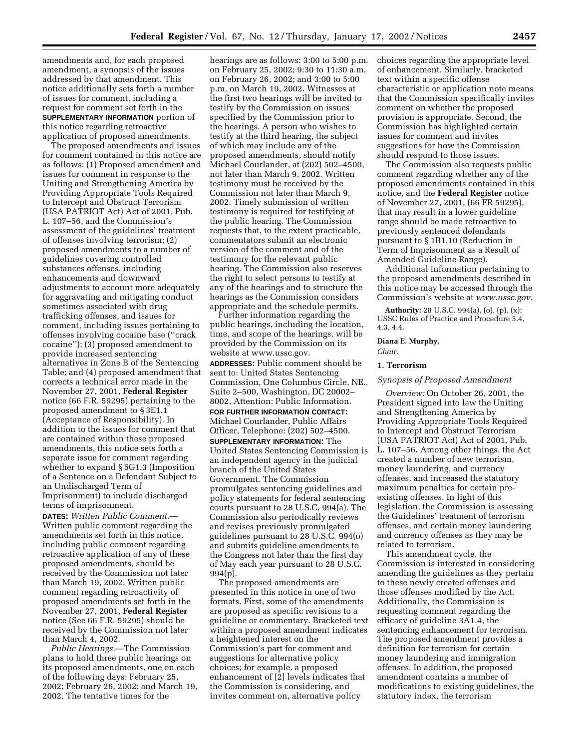amendments and, for each proposed amendment, a synopsis of the issues addressed by that amendment. This notice additionally sets forth a number of issues for comment, including a request for comment set forth in the **SUPPLEMENTARY INFORMATION** portion of this notice regarding retroactive application of proposed amendments.

The proposed amendments and issues for comment contained in this notice are as follows: (1) Proposed amendment and issues for comment in response to the Uniting and Strengthening America by Providing Appropriate Tools Required to Intercept and Obstruct Terrorism (USA PATRIOT Act) Act of 2001, Pub. L. 107–56, and the Commission's assessment of the guidelines' treatment of offenses involving terrorism; (2) proposed amendments to a number of guidelines covering controlled substances offenses, including enhancements and downward adjustments to account more adequately for aggravating and mitigating conduct sometimes associated with drug trafficking offenses, and issues for comment, including issues pertaining to offenses involving cocaine base (''crack cocaine''); (3) proposed amendment to provide increased sentencing alternatives in Zone B of the Sentencing Table; and (4) proposed amendment that corrects a technical error made in the November 27, 2001, **Federal Register** notice (66 F.R. 59295) pertaining to the proposed amendment to § 3E1.1 (Acceptance of Responsibility). In addition to the issues for comment that are contained within these proposed amendments, this notice sets forth a separate issue for comment regarding whether to expand § 5G1.3 (Imposition of a Sentence on a Defendant Subject to an Undischarged Term of Imprisonment) to include discharged terms of imprisonment.

**DATES:** *Written Public Comment.*— Written public comment regarding the amendments set forth in this notice, including public comment regarding retroactive application of any of these proposed amendments, should be received by the Commission not later than March 19, 2002. Written public comment regarding retroactivity of proposed amendments set forth in the November 27, 2001, **Federal Register** notice (See 66 F.R. 59295) should be received by the Commission not later than March 4, 2002.

*Public Hearings.*—The Commission plans to hold three public hearings on its proposed amendments, one on each of the following days: February 25, 2002; February 26, 2002; and March 19, 2002. The tentative times for the

hearings are as follows: 3:00 to 5:00 p.m. on February 25, 2002; 9:30 to 11:30 a.m. on February 26, 2002; and 3:00 to 5:00 p.m. on March 19, 2002. Witnesses at the first two hearings will be invited to testify by the Commission on issues specified by the Commission prior to the hearings. A person who wishes to testify at the third hearing, the subject of which may include any of the proposed amendments, should notify Michael Courlander, at (202) 502–4500, not later than March 9, 2002. Written testimony must be received by the Commission not later than March 9, 2002. Timely submission of written testimony is required for testifying at the public hearing. The Commission requests that, to the extent practicable, commentators submit an electronic version of the comment and of the testimony for the relevant public hearing. The Commission also reserves the right to select persons to testify at any of the hearings and to structure the hearings as the Commission considers appropriate and the schedule permits.

Further information regarding the public hearings, including the location, time, and scope of the hearings, will be provided by the Commission on its website at www.ussc.gov.

**ADDRESSES:** Public comment should be sent to: United States Sentencing Commission, One Columbus Circle, NE., Suite 2–500, Washington, DC 20002– 8002, Attention: Public Information.

**FOR FURTHER INFORMATION CONTACT:** Michael Courlander, Public Affairs Officer, Telephone: (202) 502–4500.

**SUPPLEMENTARY INFORMATION:** The United States Sentencing Commission is an independent agency in the judicial branch of the United States Government. The Commission promulgates sentencing guidelines and policy statements for federal sentencing courts pursuant to 28 U.S.C. 994(a). The Commission also periodically reviews and revises previously promulgated guidelines pursuant to 28 U.S.C. 994(o) and submits guideline amendments to the Congress not later than the first day of May each year pursuant to 28 U.S.C. 994(p).

The proposed amendments are presented in this notice in one of two formats. First, some of the amendments are proposed as specific revisions to a guideline or commentary. Bracketed text within a proposed amendment indicates a heightened interest on the Commission's part for comment and suggestions for alternative policy choices; for example, a proposed enhancement of [2] levels indicates that the Commission is considering, and invites comment on, alternative policy

choices regarding the appropriate level of enhancement. Similarly, bracketed text within a specific offense characteristic or application note means that the Commission specifically invites comment on whether the proposed provision is appropriate. Second, the Commission has highlighted certain issues for comment and invites suggestions for how the Commission should respond to those issues.

The Commission also requests public comment regarding whether any of the proposed amendments contained in this notice, and the **Federal Register** notice of November 27, 2001, (66 FR 59295), that may result in a lower guideline range should be made retroactive to previously sentenced defendants pursuant to § 1B1.10 (Reduction in Term of Imprisonment as a Result of Amended Guideline Range).

Additional information pertaining to the proposed amendments described in this notice may be accessed through the Commission's website at *www.ussc.gov.*

**Authority:** 28 U.S.C. 994(a), (o), (p), (x); USSC Rules of Practice and Procedure 3.4, 4.3, 4.4.

# **Diana E. Murphy,**

*Chair.*

# **1. Terrorism**

## *Synopsis of Proposed Amendment*

*Overview:* On October 26, 2001, the President signed into law the Uniting and Strengthening America by Providing Appropriate Tools Required to Intercept and Obstruct Terrorism (USA PATRIOT Act) Act of 2001, Pub. L. 107–56. Among other things, the Act created a number of new terrorism, money laundering, and currency offenses, and increased the statutory maximum penalties for certain preexisting offenses. In light of this legislation, the Commission is assessing the Guidelines' treatment of terrorism offenses, and certain money laundering and currency offenses as they may be related to terrorism.

This amendment cycle, the Commission is interested in considering amending the guidelines as they pertain to these newly created offenses and those offenses modified by the Act. Additionally, the Commission is requesting comment regarding the efficacy of guideline 3A1.4, the sentencing enhancement for terrorism. The proposed amendment provides a definition for terrorism for certain money laundering and immigration offenses. In addition, the proposed amendment contains a number of modifications to existing guidelines, the statutory index, the terrorism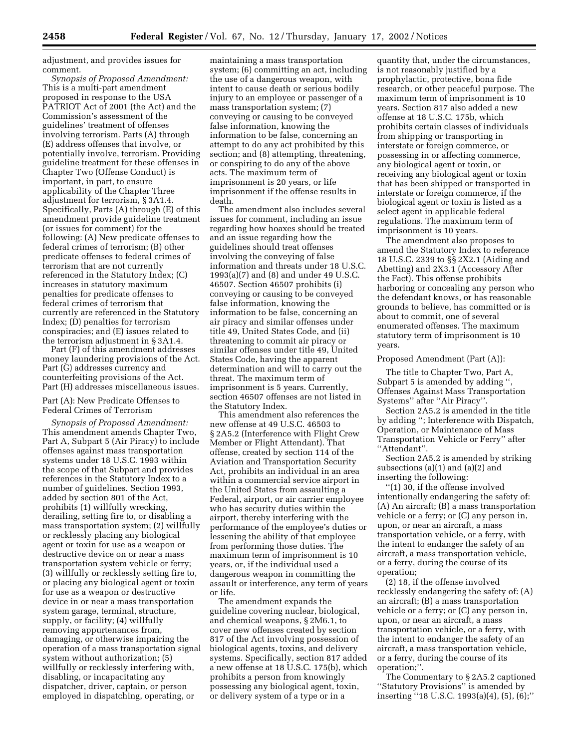adjustment, and provides issues for comment.

*Synopsis of Proposed Amendment:* This is a multi-part amendment proposed in response to the USA PATRIOT Act of 2001 (the Act) and the Commission's assessment of the guidelines' treatment of offenses involving terrorism. Parts (A) through (E) address offenses that involve, or potentially involve, terrorism. Providing guideline treatment for these offenses in Chapter Two (Offense Conduct) is important, in part, to ensure applicability of the Chapter Three adjustment for terrorism, § 3A1.4. Specifically, Parts (A) through (E) of this amendment provide guideline treatment (or issues for comment) for the following: (A) New predicate offenses to federal crimes of terrorism; (B) other predicate offenses to federal crimes of terrorism that are not currently referenced in the Statutory Index; (C) increases in statutory maximum penalties for predicate offenses to federal crimes of terrorism that currently are referenced in the Statutory Index; (D) penalties for terrorism conspiracies; and (E) issues related to the terrorism adjustment in § 3A1.4.

Part (F) of this amendment addresses money laundering provisions of the Act. Part (G) addresses currency and counterfeiting provisions of the Act. Part (H) addresses miscellaneous issues.

# Part (A): New Predicate Offenses to Federal Crimes of Terrorism

*Synopsis of Proposed Amendment:* This amendment amends Chapter Two, Part A, Subpart 5 (Air Piracy) to include offenses against mass transportation systems under 18 U.S.C. 1993 within the scope of that Subpart and provides references in the Statutory Index to a number of guidelines. Section 1993, added by section 801 of the Act, prohibits (1) willfully wrecking, derailing, setting fire to, or disabling a mass transportation system; (2) willfully or recklessly placing any biological agent or toxin for use as a weapon or destructive device on or near a mass transportation system vehicle or ferry; (3) willfully or recklessly setting fire to, or placing any biological agent or toxin for use as a weapon or destructive device in or near a mass transportation system garage, terminal, structure, supply, or facility; (4) willfully removing appurtenances from, damaging, or otherwise impairing the operation of a mass transportation signal system without authorization; (5) willfully or recklessly interfering with, disabling, or incapacitating any dispatcher, driver, captain, or person employed in dispatching, operating, or

maintaining a mass transportation system; (6) committing an act, including the use of a dangerous weapon, with intent to cause death or serious bodily injury to an employee or passenger of a mass transportation system; (7) conveying or causing to be conveyed false information, knowing the information to be false, concerning an attempt to do any act prohibited by this section; and (8) attempting, threatening, or conspiring to do any of the above acts. The maximum term of imprisonment is 20 years, or life imprisonment if the offense results in death.

The amendment also includes several issues for comment, including an issue regarding how hoaxes should be treated and an issue regarding how the guidelines should treat offenses involving the conveying of false information and threats under 18 U.S.C. 1993(a)(7) and (8) and under 49 U.S.C. 46507. Section 46507 prohibits (i) conveying or causing to be conveyed false information, knowing the information to be false, concerning an air piracy and similar offenses under title 49, United States Code, and (ii) threatening to commit air piracy or similar offenses under title 49, United States Code, having the apparent determination and will to carry out the threat. The maximum term of imprisonment is 5 years. Currently, section 46507 offenses are not listed in the Statutory Index.

This amendment also references the new offense at 49 U.S.C. 46503 to § 2A5.2 (Interference with Flight Crew Member or Flight Attendant). That offense, created by section 114 of the Aviation and Transportation Security Act, prohibits an individual in an area within a commercial service airport in the United States from assaulting a Federal, airport, or air carrier employee who has security duties within the airport, thereby interfering with the performance of the employee's duties or lessening the ability of that employee from performing those duties. The maximum term of imprisonment is 10 years, or, if the individual used a dangerous weapon in committing the assault or interference, any term of years or life.

The amendment expands the guideline covering nuclear, biological, and chemical weapons, § 2M6.1, to cover new offenses created by section 817 of the Act involving possession of biological agents, toxins, and delivery systems. Specifically, section 817 added a new offense at 18 U.S.C. 175(b), which prohibits a person from knowingly possessing any biological agent, toxin, or delivery system of a type or in a

quantity that, under the circumstances, is not reasonably justified by a prophylactic, protective, bona fide research, or other peaceful purpose. The maximum term of imprisonment is 10 years. Section 817 also added a new offense at 18 U.S.C. 175b, which prohibits certain classes of individuals from shipping or transporting in interstate or foreign commerce, or possessing in or affecting commerce, any biological agent or toxin, or receiving any biological agent or toxin that has been shipped or transported in interstate or foreign commerce, if the biological agent or toxin is listed as a select agent in applicable federal regulations. The maximum term of imprisonment is 10 years.

The amendment also proposes to amend the Statutory Index to reference 18 U.S.C. 2339 to §§ 2X2.1 (Aiding and Abetting) and 2X3.1 (Accessory After the Fact). This offense prohibits harboring or concealing any person who the defendant knows, or has reasonable grounds to believe, has committed or is about to commit, one of several enumerated offenses. The maximum statutory term of imprisonment is 10 years.

## Proposed Amendment (Part (A)):

The title to Chapter Two, Part A, Subpart 5 is amended by adding '', Offenses Against Mass Transportation Systems'' after ''Air Piracy''.

Section 2A5.2 is amended in the title by adding ''; Interference with Dispatch, Operation, or Maintenance of Mass Transportation Vehicle or Ferry'' after ''Attendant''.

Section 2A5.2 is amended by striking subsections (a)(1) and (a)(2) and inserting the following:

''(1) 30, if the offense involved intentionally endangering the safety of: (A) An aircraft; (B) a mass transportation vehicle or a ferry; or (C) any person in, upon, or near an aircraft, a mass transportation vehicle, or a ferry, with the intent to endanger the safety of an aircraft, a mass transportation vehicle, or a ferry, during the course of its operation;

(2) 18, if the offense involved recklessly endangering the safety of: (A) an aircraft; (B) a mass transportation vehicle or a ferry; or (C) any person in, upon, or near an aircraft, a mass transportation vehicle, or a ferry, with the intent to endanger the safety of an aircraft, a mass transportation vehicle, or a ferry, during the course of its operation;''.

The Commentary to § 2A5.2 captioned ''Statutory Provisions'' is amended by inserting ''18 U.S.C. 1993(a)(4), (5), (6);''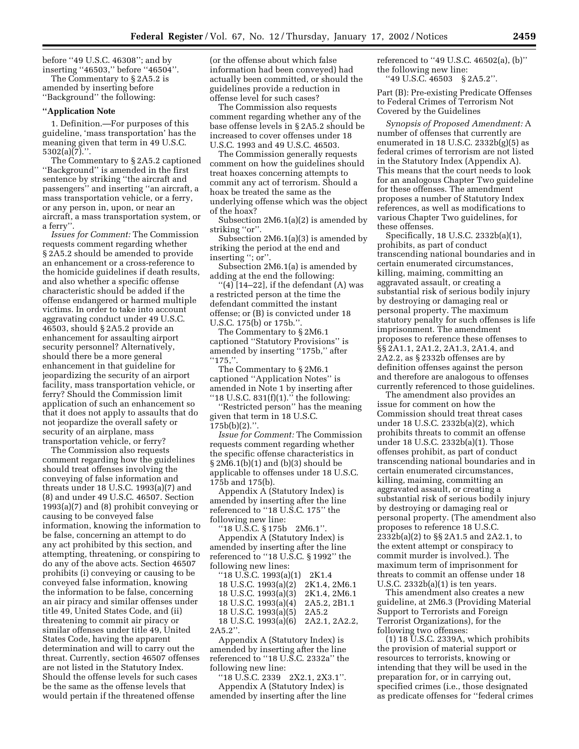before ''49 U.S.C. 46308''; and by inserting ''46503,'' before ''46504''. The Commentary to § 2A5.2 is

amended by inserting before ''Background'' the following:

#### **''Application Note**

1. Definition.—For purposes of this guideline, 'mass transportation' has the meaning given that term in 49 U.S.C. 5302(a)(7).''.

The Commentary to § 2A5.2 captioned ''Background'' is amended in the first sentence by striking ''the aircraft and passengers'' and inserting ''an aircraft, a mass transportation vehicle, or a ferry, or any person in, upon, or near an aircraft, a mass transportation system, or a ferry''.

*Issues for Comment:* The Commission requests comment regarding whether § 2A5.2 should be amended to provide an enhancement or a cross-reference to the homicide guidelines if death results, and also whether a specific offense characteristic should be added if the offense endangered or harmed multiple victims. In order to take into account aggravating conduct under 49 U.S.C. 46503, should § 2A5.2 provide an enhancement for assaulting airport security personnel? Alternatively, should there be a more general enhancement in that guideline for jeopardizing the security of an airport facility, mass transportation vehicle, or ferry? Should the Commission limit application of such an enhancement so that it does not apply to assaults that do not jeopardize the overall safety or security of an airplane, mass transportation vehicle, or ferry?

The Commission also requests comment regarding how the guidelines should treat offenses involving the conveying of false information and threats under 18 U.S.C. 1993(a)(7) and (8) and under 49 U.S.C. 46507. Section 1993(a)(7) and (8) prohibit conveying or causing to be conveyed false information, knowing the information to be false, concerning an attempt to do any act prohibited by this section, and attempting, threatening, or conspiring to do any of the above acts. Section 46507 prohibits (i) conveying or causing to be conveyed false information, knowing the information to be false, concerning an air piracy and similar offenses under title 49, United States Code, and (ii) threatening to commit air piracy or similar offenses under title 49, United States Code, having the apparent determination and will to carry out the threat. Currently, section 46507 offenses are not listed in the Statutory Index. Should the offense levels for such cases be the same as the offense levels that would pertain if the threatened offense

(or the offense about which false information had been conveyed) had actually been committed, or should the guidelines provide a reduction in offense level for such cases?

The Commission also requests comment regarding whether any of the base offense levels in § 2A5.2 should be increased to cover offenses under 18 U.S.C. 1993 and 49 U.S.C. 46503.

The Commission generally requests comment on how the guidelines should treat hoaxes concerning attempts to commit any act of terrorism. Should a hoax be treated the same as the underlying offense which was the object of the hoax?

Subsection 2M6.1(a)(2) is amended by striking "or".

Subsection 2M6.1(a)(3) is amended by striking the period at the end and inserting "; or".

Subsection 2M6.1(a) is amended by adding at the end the following:

 $\lq(4)$ [14–22], if the defendant (A) was a restricted person at the time the defendant committed the instant offense; or (B) is convicted under 18 U.S.C. 175(b) or 175b.''.

The Commentary to § 2M6.1 captioned ''Statutory Provisions'' is amended by inserting ''175b,'' after  $"175,"$ .

The Commentary to § 2M6.1 captioned ''Application Notes'' is amended in Note 1 by inserting after "18 U.S.C.  $831(f)(1)$ ." the following:

'Restricted person'' has the meaning given that term in 18 U.S.C.  $175b(b)(2)$ .".

*Issue for Comment:* The Commission requests comment regarding whether the specific offense characteristics in § 2M6.1(b)(1) and (b)(3) should be applicable to offenses under 18 U.S.C. 175b and 175(b).

Appendix A (Statutory Index) is amended by inserting after the line referenced to ''18 U.S.C. 175'' the following new line:

 $18 \text{ U.S.C. } $175b \quad 2\text{M}6.1"$ Appendix A (Statutory Index) is amended by inserting after the line referenced to ''18 U.S.C. § 1992'' the following new lines:

''18 U.S.C. 1993(a)(1) 2K1.4 18 U.S.C. 1993(a)(2) 2K1.4, 2M6.1 18 U.S.C. 1993(a)(3) 2K1.4, 2M6.1 18 U.S.C. 1993(a)(4) 2A5.2, 2B1.1 18 U.S.C. 1993(a)(5) 2A5.2 18 U.S.C. 1993(a)(6) 2A2.1, 2A2.2, 2A5.2''.

Appendix A (Statutory Index) is amended by inserting after the line referenced to ''18 U.S.C. 2332a'' the following new line:

''18 U.S.C. 2339 2X2.1, 2X3.1''. Appendix A (Statutory Index) is amended by inserting after the line referenced to ''49 U.S.C. 46502(a), (b)'' the following new line:

''49 U.S.C. 46503 § 2A5.2''.

Part (B): Pre-existing Predicate Offenses to Federal Crimes of Terrorism Not Covered by the Guidelines

*Synopsis of Proposed Amendment:* A number of offenses that currently are enumerated in 18 U.S.C.  $2332b(g)(5)$  as federal crimes of terrorism are not listed in the Statutory Index (Appendix A). This means that the court needs to look for an analogous Chapter Two guideline for these offenses. The amendment proposes a number of Statutory Index references, as well as modifications to various Chapter Two guidelines, for these offenses.

Specifically, 18 U.S.C. 2332b(a)(1), prohibits, as part of conduct transcending national boundaries and in certain enumerated circumstances, killing, maiming, committing an aggravated assault, or creating a substantial risk of serious bodily injury by destroying or damaging real or personal property. The maximum statutory penalty for such offenses is life imprisonment. The amendment proposes to reference these offenses to §§ 2A1.1, 2A1.2, 2A1.3, 2A1.4, and 2A2.2, as § 2332b offenses are by definition offenses against the person and therefore are analogous to offenses currently referenced to those guidelines.

The amendment also provides an issue for comment on how the Commission should treat threat cases under 18 U.S.C. 2332b(a)(2), which prohibits threats to commit an offense under 18 U.S.C. 2332b(a)(1). Those offenses prohibit, as part of conduct transcending national boundaries and in certain enumerated circumstances, killing, maiming, committing an aggravated assault, or creating a substantial risk of serious bodily injury by destroying or damaging real or personal property. (The amendment also proposes to reference 18 U.S.C. 2332b(a)(2) to §§ 2A1.5 and 2A2.1, to the extent attempt or conspiracy to commit murder is involved.). The maximum term of imprisonment for threats to commit an offense under 18 U.S.C. 2332b(a)(1) is ten years.

This amendment also creates a new guideline, at 2M6.3 (Providing Material Support to Terrorists and Foreign Terrorist Organizations), for the following two offenses:

(1) 18 U.S.C. 2339A, which prohibits the provision of material support or resources to terrorists, knowing or intending that they will be used in the preparation for, or in carrying out, specified crimes (i.e., those designated as predicate offenses for ''federal crimes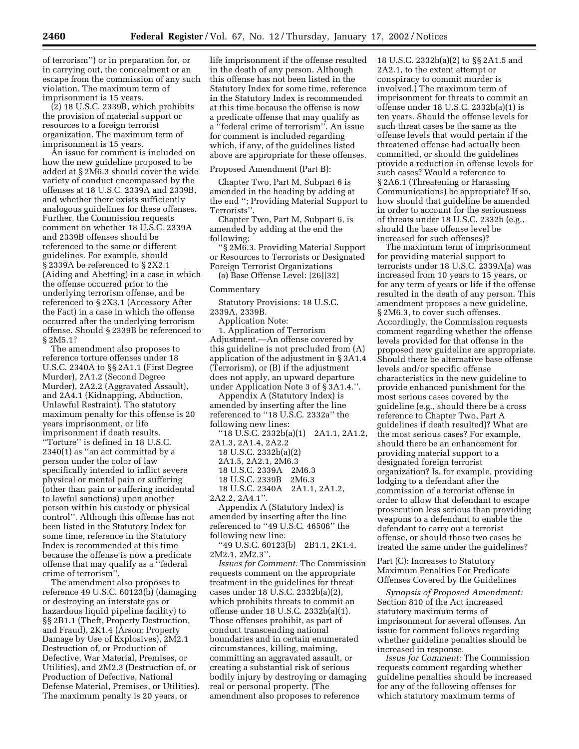of terrorism'') or in preparation for, or in carrying out, the concealment or an escape from the commission of any such violation. The maximum term of imprisonment is 15 years.

(2) 18 U.S.C. 2339B, which prohibits the provision of material support or resources to a foreign terrorist organization. The maximum term of imprisonment is 15 years.

An issue for comment is included on how the new guideline proposed to be added at § 2M6.3 should cover the wide variety of conduct encompassed by the offenses at 18 U.S.C. 2339A and 2339B, and whether there exists sufficiently analogous guidelines for these offenses. Further, the Commission requests comment on whether 18 U.S.C. 2339A and 2339B offenses should be referenced to the same or different guidelines. For example, should § 2339A be referenced to § 2X2.1 (Aiding and Abetting) in a case in which the offense occurred prior to the underlying terrorism offense, and be referenced to § 2X3.1 (Accessory After the Fact) in a case in which the offense occurred after the underlying terrorism offense. Should § 2339B be referenced to § 2M5.1?

The amendment also proposes to reference torture offenses under 18 U.S.C. 2340A to §§ 2A1.1 (First Degree Murder), 2A1.2 (Second Degree Murder), 2A2.2 (Aggravated Assault), and 2A4.1 (Kidnapping, Abduction, Unlawful Restraint). The statutory maximum penalty for this offense is 20 years imprisonment, or life imprisonment if death results. ''Torture'' is defined in 18 U.S.C. 2340(1) as ''an act committed by a person under the color of law specifically intended to inflict severe physical or mental pain or suffering (other than pain or suffering incidental to lawful sanctions) upon another person within his custody or physical control''. Although this offense has not been listed in the Statutory Index for some time, reference in the Statutory Index is recommended at this time because the offense is now a predicate offense that may qualify as a ''federal crime of terrorism''.

The amendment also proposes to reference 49 U.S.C. 60123(b) (damaging or destroying an interstate gas or hazardous liquid pipeline facility) to §§ 2B1.1 (Theft, Property Destruction, and Fraud), 2K1.4 (Arson; Property Damage by Use of Explosives), 2M2.1 Destruction of, or Production of Defective, War Material, Premises, or Utilities), and 2M2.3 (Destruction of, or Production of Defective, National Defense Material, Premises, or Utilities). The maximum penalty is 20 years, or

life imprisonment if the offense resulted in the death of any person. Although this offense has not been listed in the Statutory Index for some time, reference in the Statutory Index is recommended at this time because the offense is now a predicate offense that may qualify as a ''federal crime of terrorism''. An issue for comment is included regarding which, if any, of the guidelines listed above are appropriate for these offenses.

#### Proposed Amendment (Part B):

Chapter Two, Part M, Subpart 6 is amended in the heading by adding at the end ''; Providing Material Support to Terrorists''.

Chapter Two, Part M, Subpart 6, is amended by adding at the end the following:

''§ 2M6.3. Providing Material Support or Resources to Terrorists or Designated Foreign Terrorist Organizations

(a) Base Offense Level: [26][32]

#### Commentary

Statutory Provisions: 18 U.S.C. 2339A, 2339B.

Application Note:

1. Application of Terrorism Adjustment.—An offense covered by this guideline is not precluded from (A) application of the adjustment in § 3A1.4 (Terrorism), or (B) if the adjustment does not apply, an upward departure under Application Note 3 of § 3A1.4.''.

Appendix A (Statutory Index) is amended by inserting after the line referenced to ''18 U.S.C. 2332a'' the following new lines:

''18 U.S.C. 2332b(a)(1) 2A1.1, 2A1.2,

2A1.3, 2A1.4, 2A2.2 18 U.S.C. 2332b(a)(2)

2A1.5, 2A2.1, 2M6.3 18 U.S.C. 2339A 2M6.3 18 U.S.C. 2339B 2M6.3 18 U.S.C. 2340A 2A1.1, 2A1.2,

2A2.2, 2A4.1"

Appendix A (Statutory Index) is amended by inserting after the line referenced to ''49 U.S.C. 46506'' the following new line:

''49 U.S.C. 60123(b) 2B1.1, 2K1.4, 2M2.1, 2M2.3''.

*Issues for Comment:* The Commission requests comment on the appropriate treatment in the guidelines for threat cases under 18 U.S.C. 2332b(a)(2), which prohibits threats to commit an offense under 18 U.S.C. 2332b(a)(1). Those offenses prohibit, as part of conduct transcending national boundaries and in certain enumerated circumstances, killing, maiming, committing an aggravated assault, or creating a substantial risk of serious bodily injury by destroying or damaging real or personal property. (The amendment also proposes to reference

18 U.S.C. 2332b(a)(2) to §§ 2A1.5 and 2A2.1, to the extent attempt or conspiracy to commit murder is involved.) The maximum term of imprisonment for threats to commit an offense under 18 U.S.C. 2332b(a)(1) is ten years. Should the offense levels for such threat cases be the same as the offense levels that would pertain if the threatened offense had actually been committed, or should the guidelines provide a reduction in offense levels for such cases? Would a reference to § 2A6.1 (Threatening or Harassing Communications) be appropriate? If so, how should that guideline be amended in order to account for the seriousness of threats under 18 U.S.C. 2332b (e.g., should the base offense level be increased for such offenses)?

The maximum term of imprisonment for providing material support to terrorists under 18 U.S.C. 2339A(a) was increased from 10 years to 15 years, or for any term of years or life if the offense resulted in the death of any person. This amendment proposes a new guideline, § 2M6.3, to cover such offenses. Accordingly, the Commission requests comment regarding whether the offense levels provided for that offense in the proposed new guideline are appropriate. Should there be alternative base offense levels and/or specific offense characteristics in the new guideline to provide enhanced punishment for the most serious cases covered by the guideline (e.g., should there be a cross reference to Chapter Two, Part A guidelines if death resulted)? What are the most serious cases? For example, should there be an enhancement for providing material support to a designated foreign terrorist organization? Is, for example, providing lodging to a defendant after the commission of a terrorist offense in order to allow that defendant to escape prosecution less serious than providing weapons to a defendant to enable the defendant to carry out a terrorist offense, or should those two cases be treated the same under the guidelines?

Part (C): Increases to Statutory Maximum Penalties For Predicate Offenses Covered by the Guidelines

*Synopsis of Proposed Amendment:* Section 810 of the Act increased statutory maximum terms of imprisonment for several offenses. An issue for comment follows regarding whether guideline penalties should be increased in response.

*Issue for Comment:* The Commission requests comment regarding whether guideline penalties should be increased for any of the following offenses for which statutory maximum terms of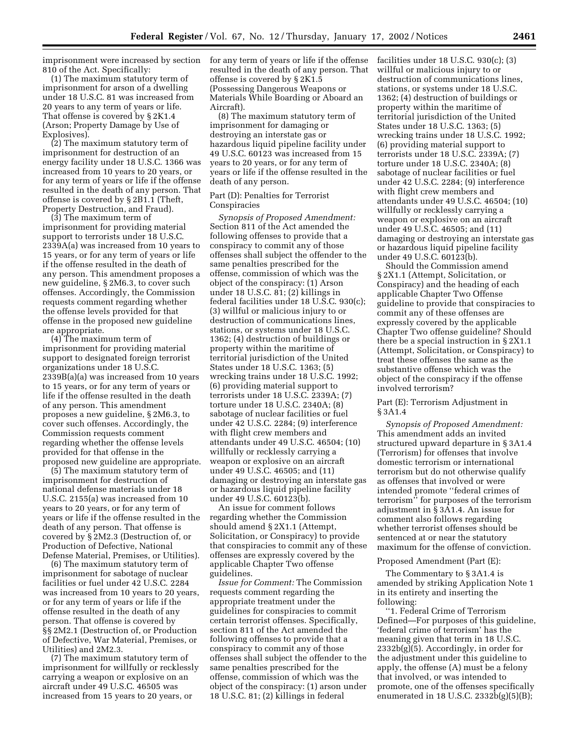imprisonment were increased by section 810 of the Act. Specifically:

(1) The maximum statutory term of imprisonment for arson of a dwelling under 18 U.S.C. 81 was increased from 20 years to any term of years or life. That offense is covered by § 2K1.4 (Arson; Property Damage by Use of Explosives).

(2) The maximum statutory term of imprisonment for destruction of an energy facility under 18 U.S.C. 1366 was increased from 10 years to 20 years, or for any term of years or life if the offense resulted in the death of any person. That offense is covered by § 2B1.1 (Theft, Property Destruction, and Fraud).

(3) The maximum term of imprisonment for providing material support to terrorists under 18 U.S.C. 2339A(a) was increased from 10 years to 15 years, or for any term of years or life if the offense resulted in the death of any person. This amendment proposes a new guideline, § 2M6.3, to cover such offenses. Accordingly, the Commission requests comment regarding whether the offense levels provided for that offense in the proposed new guideline are appropriate.

(4) The maximum term of imprisonment for providing material support to designated foreign terrorist organizations under 18 U.S.C. 2339B(a)(a) was increased from 10 years to 15 years, or for any term of years or life if the offense resulted in the death of any person. This amendment proposes a new guideline, § 2M6.3, to cover such offenses. Accordingly, the Commission requests comment regarding whether the offense levels provided for that offense in the proposed new guideline are appropriate.

(5) The maximum statutory term of imprisonment for destruction of national defense materials under 18 U.S.C. 2155(a) was increased from 10 years to 20 years, or for any term of years or life if the offense resulted in the death of any person. That offense is covered by § 2M2.3 (Destruction of, or Production of Defective, National Defense Material, Premises, or Utilities).

(6) The maximum statutory term of imprisonment for sabotage of nuclear facilities or fuel under 42 U.S.C. 2284 was increased from 10 years to 20 years, or for any term of years or life if the offense resulted in the death of any person. That offense is covered by §§ 2M2.1 (Destruction of, or Production of Defective, War Material, Premises, or Utilities) and 2M2.3.

(7) The maximum statutory term of imprisonment for willfully or recklessly carrying a weapon or explosive on an aircraft under 49 U.S.C. 46505 was increased from 15 years to 20 years, or

for any term of years or life if the offense resulted in the death of any person. That offense is covered by § 2K1.5 (Possessing Dangerous Weapons or Materials While Boarding or Aboard an Aircraft).

(8) The maximum statutory term of imprisonment for damaging or destroying an interstate gas or hazardous liquid pipeline facility under 49 U.S.C. 60123 was increased from 15 years to 20 years, or for any term of years or life if the offense resulted in the death of any person.

## Part (D): Penalties for Terrorist Conspiracies

*Synopsis of Proposed Amendment:* Section 811 of the Act amended the following offenses to provide that a conspiracy to commit any of those offenses shall subject the offender to the same penalties prescribed for the offense, commission of which was the object of the conspiracy: (1) Arson under 18 U.S.C. 81; (2) killings in federal facilities under 18 U.S.C. 930(c); (3) willful or malicious injury to or destruction of communications lines, stations, or systems under 18 U.S.C. 1362; (4) destruction of buildings or property within the maritime of territorial jurisdiction of the United States under 18 U.S.C. 1363; (5) wrecking trains under 18 U.S.C. 1992; (6) providing material support to terrorists under 18 U.S.C. 2339A; (7) torture under 18 U.S.C. 2340A; (8) sabotage of nuclear facilities or fuel under 42 U.S.C. 2284; (9) interference with flight crew members and attendants under 49 U.S.C. 46504; (10) willfully or recklessly carrying a weapon or explosive on an aircraft under 49 U.S.C. 46505; and (11) damaging or destroying an interstate gas or hazardous liquid pipeline facility under 49 U.S.C. 60123(b).

An issue for comment follows regarding whether the Commission should amend § 2X1.1 (Attempt, Solicitation, or Conspiracy) to provide that conspiracies to commit any of these offenses are expressly covered by the applicable Chapter Two offense guidelines.

*Issue for Comment:* The Commission requests comment regarding the appropriate treatment under the guidelines for conspiracies to commit certain terrorist offenses. Specifically, section 811 of the Act amended the following offenses to provide that a conspiracy to commit any of those offenses shall subject the offender to the same penalties prescribed for the offense, commission of which was the object of the conspiracy: (1) arson under 18 U.S.C. 81; (2) killings in federal

facilities under 18 U.S.C. 930(c); (3) willful or malicious injury to or destruction of communications lines, stations, or systems under 18 U.S.C. 1362; (4) destruction of buildings or property within the maritime of territorial jurisdiction of the United States under 18 U.S.C. 1363; (5) wrecking trains under 18 U.S.C. 1992; (6) providing material support to terrorists under 18 U.S.C. 2339A; (7) torture under 18 U.S.C. 2340A; (8) sabotage of nuclear facilities or fuel under 42 U.S.C. 2284; (9) interference with flight crew members and attendants under 49 U.S.C. 46504; (10) willfully or recklessly carrying a weapon or explosive on an aircraft under 49 U.S.C. 46505; and (11) damaging or destroying an interstate gas or hazardous liquid pipeline facility under 49 U.S.C. 60123(b).

Should the Commission amend § 2X1.1 (Attempt, Solicitation, or Conspiracy) and the heading of each applicable Chapter Two Offense guideline to provide that conspiracies to commit any of these offenses are expressly covered by the applicable Chapter Two offense guideline? Should there be a special instruction in § 2X1.1 (Attempt, Solicitation, or Conspiracy) to treat these offenses the same as the substantive offense which was the object of the conspiracy if the offense involved terrorism?

# Part (E): Terrorism Adjustment in § 3A1.4

*Synopsis of Proposed Amendment:* This amendment adds an invited structured upward departure in § 3A1.4 (Terrorism) for offenses that involve domestic terrorism or international terrorism but do not otherwise qualify as offenses that involved or were intended promote ''federal crimes of terrorism'' for purposes of the terrorism adjustment in § 3A1.4. An issue for comment also follows regarding whether terrorist offenses should be sentenced at or near the statutory maximum for the offense of conviction.

#### Proposed Amendment (Part (E):

The Commentary to § 3A1.4 is amended by striking Application Note 1 in its entirety and inserting the following:

''1. Federal Crime of Terrorism Defined—For purposes of this guideline, 'federal crime of terrorism' has the meaning given that term in 18 U.S.C. 2332b(g)(5). Accordingly, in order for the adjustment under this guideline to apply, the offense (A) must be a felony that involved, or was intended to promote, one of the offenses specifically enumerated in 18 U.S.C. 2332b(g)(5)(B);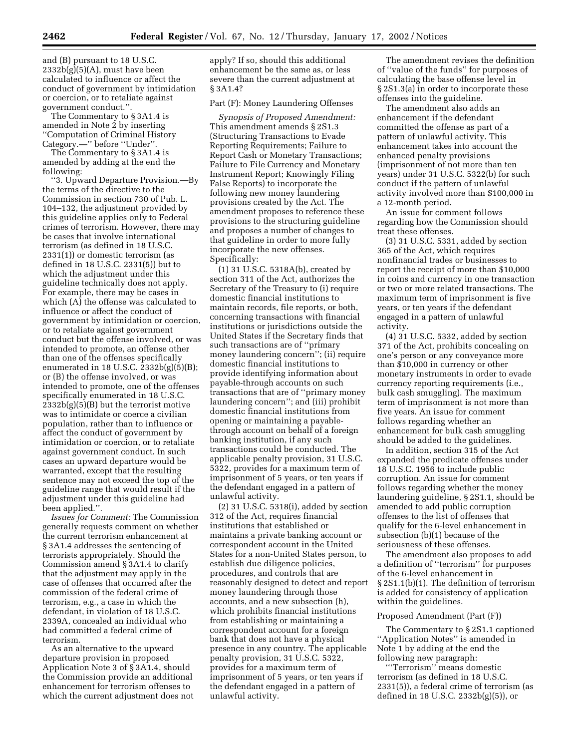and (B) pursuant to 18 U.S.C.  $2332b(g)(5)(A)$ , must have been calculated to influence or affect the conduct of government by intimidation or coercion, or to retaliate against government conduct.''.

The Commentary to § 3A1.4 is amended in Note 2 by inserting ''Computation of Criminal History Category.—'' before ''Under''.

The Commentary to § 3A1.4 is amended by adding at the end the following:

''3. Upward Departure Provision.—By the terms of the directive to the Commission in section 730 of Pub. L. 104–132, the adjustment provided by this guideline applies only to Federal crimes of terrorism. However, there may be cases that involve international terrorism (as defined in 18 U.S.C. 2331(1)) or domestic terrorism (as defined in 18 U.S.C. 2331(5)) but to which the adjustment under this guideline technically does not apply. For example, there may be cases in which (A) the offense was calculated to influence or affect the conduct of government by intimidation or coercion, or to retaliate against government conduct but the offense involved, or was intended to promote, an offense other than one of the offenses specifically enumerated in 18 U.S.C.  $\overline{2}332b(g)(5)(B);$ or (B) the offense involved, or was intended to promote, one of the offenses specifically enumerated in 18 U.S.C. 2332b(g)(5)(B) but the terrorist motive was to intimidate or coerce a civilian population, rather than to influence or affect the conduct of government by intimidation or coercion, or to retaliate against government conduct. In such cases an upward departure would be warranted, except that the resulting sentence may not exceed the top of the guideline range that would result if the adjustment under this guideline had been applied.''.

*Issues for Comment:* The Commission generally requests comment on whether the current terrorism enhancement at § 3A1.4 addresses the sentencing of terrorists appropriately. Should the Commission amend § 3A1.4 to clarify that the adjustment may apply in the case of offenses that occurred after the commission of the federal crime of terrorism, e.g., a case in which the defendant, in violation of 18 U.S.C. 2339A, concealed an individual who had committed a federal crime of terrorism.

As an alternative to the upward departure provision in proposed Application Note 3 of § 3A1.4, should the Commission provide an additional enhancement for terrorism offenses to which the current adjustment does not apply? If so, should this additional enhancement be the same as, or less severe than the current adjustment at § 3A1.4?

Part (F): Money Laundering Offenses

*Synopsis of Proposed Amendment:* This amendment amends § 2S1.3 (Structuring Transactions to Evade Reporting Requirements; Failure to Report Cash or Monetary Transactions; Failure to File Currency and Monetary Instrument Report; Knowingly Filing False Reports) to incorporate the following new money laundering provisions created by the Act. The amendment proposes to reference these provisions to the structuring guideline and proposes a number of changes to that guideline in order to more fully incorporate the new offenses. Specifically:

(1) 31 U.S.C. 5318A(b), created by section 311 of the Act, authorizes the Secretary of the Treasury to (i) require domestic financial institutions to maintain records, file reports, or both, concerning transactions with financial institutions or jurisdictions outside the United States if the Secretary finds that such transactions are of ''primary money laundering concern''; (ii) require domestic financial institutions to provide identifying information about payable-through accounts on such transactions that are of ''primary money laundering concern''; and (iii) prohibit domestic financial institutions from opening or maintaining a payablethrough account on behalf of a foreign banking institution, if any such transactions could be conducted. The applicable penalty provision, 31 U.S.C. 5322, provides for a maximum term of imprisonment of 5 years, or ten years if the defendant engaged in a pattern of unlawful activity.

(2) 31 U.S.C. 5318(i), added by section 312 of the Act, requires financial institutions that established or maintains a private banking account or correspondent account in the United States for a non-United States person, to establish due diligence policies, procedures, and controls that are reasonably designed to detect and report money laundering through those accounts, and a new subsection (h), which prohibits financial institutions from establishing or maintaining a correspondent account for a foreign bank that does not have a physical presence in any country. The applicable penalty provision, 31 U.S.C. 5322, provides for a maximum term of imprisonment of 5 years, or ten years if the defendant engaged in a pattern of unlawful activity.

The amendment revises the definition of ''value of the funds'' for purposes of calculating the base offense level in § 2S1.3(a) in order to incorporate these offenses into the guideline.

The amendment also adds an enhancement if the defendant committed the offense as part of a pattern of unlawful activity. This enhancement takes into account the enhanced penalty provisions (imprisonment of not more than ten years) under 31 U.S.C. 5322(b) for such conduct if the pattern of unlawful activity involved more than \$100,000 in a 12-month period.

An issue for comment follows regarding how the Commission should treat these offenses.

(3) 31 U.S.C. 5331, added by section 365 of the Act, which requires nonfinancial trades or businesses to report the receipt of more than \$10,000 in coins and currency in one transaction or two or more related transactions. The maximum term of imprisonment is five years, or ten years if the defendant engaged in a pattern of unlawful activity.

(4) 31 U.S.C. 5332, added by section 371 of the Act, prohibits concealing on one's person or any conveyance more than \$10,000 in currency or other monetary instruments in order to evade currency reporting requirements (i.e., bulk cash smuggling). The maximum term of imprisonment is not more than five years. An issue for comment follows regarding whether an enhancement for bulk cash smuggling should be added to the guidelines.

In addition, section 315 of the Act expanded the predicate offenses under 18 U.S.C. 1956 to include public corruption. An issue for comment follows regarding whether the money laundering guideline, § 2S1.1, should be amended to add public corruption offenses to the list of offenses that qualify for the 6-level enhancement in subsection (b)(1) because of the seriousness of these offenses.

The amendment also proposes to add a definition of ''terrorism'' for purposes of the 6-level enhancement in § 2S1.1(b)(1). The definition of terrorism is added for consistency of application within the guidelines.

## Proposed Amendment (Part (F))

The Commentary to § 2S1.1 captioned ''Application Notes'' is amended in Note 1 by adding at the end the following new paragraph:

'''Terrorism'' means domestic terrorism (as defined in 18 U.S.C. 2331(5)), a federal crime of terrorism (as defined in 18 U.S.C. 2332b(g)(5)), or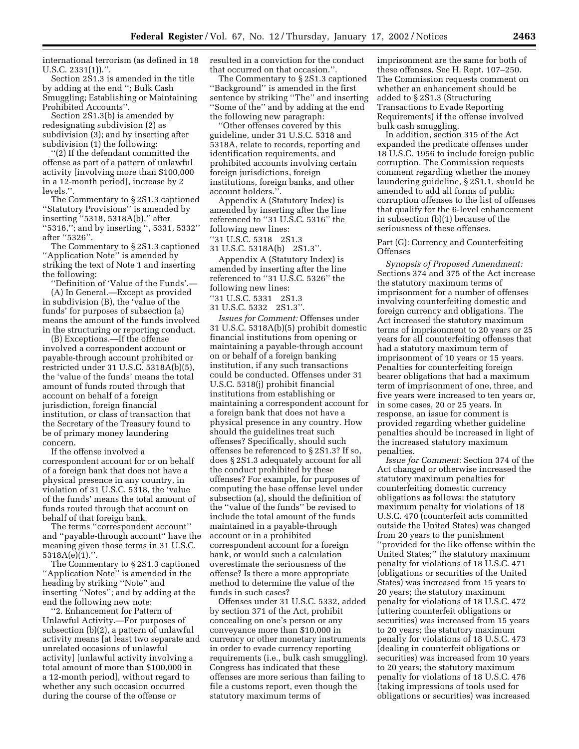international terrorism (as defined in 18  $U.S.C. 2331(1)$ .".

Section 2S1.3 is amended in the title by adding at the end ''; Bulk Cash Smuggling; Establishing or Maintaining Prohibited Accounts''.

Section 2S1.3(b) is amended by redesignating subdivision (2) as subdivision (3); and by inserting after subdivision (1) the following:

''(2) If the defendant committed the offense as part of a pattern of unlawful activity [involving more than \$100,000 in a 12-month period], increase by 2 levels.''.

The Commentary to § 2S1.3 captioned ''Statutory Provisions'' is amended by inserting ''5318, 5318A(b),'' after ''5316,''; and by inserting '', 5331, 5332'' after ''5326''.

The Commentary to § 2S1.3 captioned ''Application Note'' is amended by striking the text of Note 1 and inserting the following:

''Definition of 'Value of the Funds'.— (A) In General.—Except as provided in subdivision (B), the 'value of the funds' for purposes of subsection (a) means the amount of the funds involved in the structuring or reporting conduct.

(B) Exceptions.—If the offense involved a correspondent account or payable-through account prohibited or restricted under 31 U.S.C. 5318A(b)(5), the 'value of the funds' means the total amount of funds routed through that account on behalf of a foreign jurisdiction, foreign financial institution, or class of transaction that the Secretary of the Treasury found to be of primary money laundering concern.

If the offense involved a correspondent account for or on behalf of a foreign bank that does not have a physical presence in any country, in violation of 31 U.S.C. 5318, the 'value of the funds' means the total amount of funds routed through that account on behalf of that foreign bank.

The terms ''correspondent account'' and ''payable-through account'' have the meaning given those terms in 31 U.S.C.  $5318A(e)(1)$ .".

The Commentary to § 2S1.3 captioned "Application Note" is amended in the heading by striking ''Note'' and inserting ''Notes''; and by adding at the end the following new note:

''2. Enhancement for Pattern of Unlawful Activity.—For purposes of subsection (b)(2), a pattern of unlawful activity means [at least two separate and unrelated occasions of unlawful activity] [unlawful activity involving a total amount of more than \$100,000 in a 12-month period], without regard to whether any such occasion occurred during the course of the offense or

resulted in a conviction for the conduct that occurred on that occasion.''.

The Commentary to § 2S1.3 captioned ''Background'' is amended in the first sentence by striking ''The'' and inserting ''Some of the'' and by adding at the end the following new paragraph:

''Other offenses covered by this guideline, under 31 U.S.C. 5318 and 5318A, relate to records, reporting and identification requirements, and prohibited accounts involving certain foreign jurisdictions, foreign institutions, foreign banks, and other account holders.''.

Appendix A (Statutory Index) is amended by inserting after the line referenced to ''31 U.S.C. 5316'' the following new lines:

''31 U.S.C. 5318 2S1.3

31 U.S.C. 5318A(b) 2S1.3''.

Appendix A (Statutory Index) is amended by inserting after the line referenced to ''31 U.S.C. 5326'' the following new lines:

''31 U.S.C. 5331 2S1.3

31 U.S.C. 5332 2S1.3''.

*Issues for Comment:* Offenses under 31 U.S.C. 5318A(b)(5) prohibit domestic financial institutions from opening or maintaining a payable-through account on or behalf of a foreign banking institution, if any such transactions could be conducted. Offenses under 31 U.S.C. 5318(j) prohibit financial institutions from establishing or maintaining a correspondent account for a foreign bank that does not have a physical presence in any country. How should the guidelines treat such offenses? Specifically, should such offenses be referenced to § 2S1.3? If so, does § 2S1.3 adequately account for all the conduct prohibited by these offenses? For example, for purposes of computing the base offense level under subsection (a), should the definition of the ''value of the funds'' be revised to include the total amount of the funds maintained in a payable-through account or in a prohibited correspondent account for a foreign bank, or would such a calculation overestimate the seriousness of the offense? Is there a more appropriate method to determine the value of the funds in such cases?

Offenses under 31 U.S.C. 5332, added by section 371 of the Act, prohibit concealing on one's person or any conveyance more than \$10,000 in currency or other monetary instruments in order to evade currency reporting requirements (i.e., bulk cash smuggling). Congress has indicated that these offenses are more serious than failing to file a customs report, even though the statutory maximum terms of

imprisonment are the same for both of these offenses. See H. Rept. 107–250. The Commission requests comment on whether an enhancement should be added to § 2S1.3 (Structuring Transactions to Evade Reporting Requirements) if the offense involved bulk cash smuggling.

In addition, section 315 of the Act expanded the predicate offenses under 18 U.S.C. 1956 to include foreign public corruption. The Commission requests comment regarding whether the money laundering guideline, § 2S1.1, should be amended to add all forms of public corruption offenses to the list of offenses that qualify for the 6-level enhancement in subsection (b)(1) because of the seriousness of these offenses.

# Part (G): Currency and Counterfeiting Offenses

*Synopsis of Proposed Amendment:* Sections 374 and 375 of the Act increase the statutory maximum terms of imprisonment for a number of offenses involving counterfeiting domestic and foreign currency and obligations. The Act increased the statutory maximum terms of imprisonment to 20 years or 25 years for all counterfeiting offenses that had a statutory maximum term of imprisonment of 10 years or 15 years. Penalties for counterfeiting foreign bearer obligations that had a maximum term of imprisonment of one, three, and five years were increased to ten years or, in some cases, 20 or 25 years. In response, an issue for comment is provided regarding whether guideline penalties should be increased in light of the increased statutory maximum penalties.

*Issue for Comment:* Section 374 of the Act changed or otherwise increased the statutory maximum penalties for counterfeiting domestic currency obligations as follows: the statutory maximum penalty for violations of 18 U.S.C. 470 (counterfeit acts committed outside the United States) was changed from 20 years to the punishment ''provided for the like offense within the United States;'' the statutory maximum penalty for violations of 18 U.S.C. 471 (obligations or securities of the United States) was increased from 15 years to 20 years; the statutory maximum penalty for violations of 18 U.S.C. 472 (uttering counterfeit obligations or securities) was increased from 15 years to 20 years; the statutory maximum penalty for violations of 18 U.S.C. 473 (dealing in counterfeit obligations or securities) was increased from 10 years to 20 years; the statutory maximum penalty for violations of 18 U.S.C. 476 (taking impressions of tools used for obligations or securities) was increased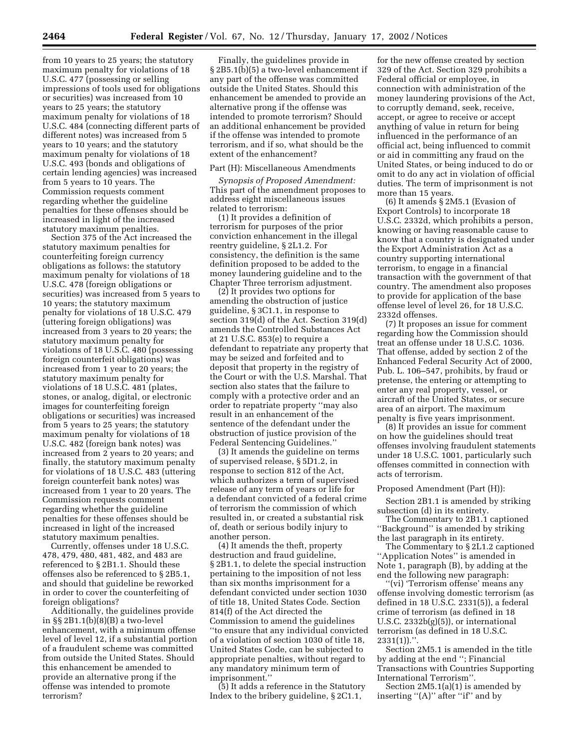from 10 years to 25 years; the statutory maximum penalty for violations of 18 U.S.C. 477 (possessing or selling impressions of tools used for obligations or securities) was increased from 10 years to 25 years; the statutory maximum penalty for violations of 18 U.S.C. 484 (connecting different parts of different notes) was increased from 5 years to 10 years; and the statutory maximum penalty for violations of 18 U.S.C. 493 (bonds and obligations of certain lending agencies) was increased from 5 years to 10 years. The Commission requests comment regarding whether the guideline penalties for these offenses should be increased in light of the increased statutory maximum penalties.

Section 375 of the Act increased the statutory maximum penalties for counterfeiting foreign currency obligations as follows: the statutory maximum penalty for violations of 18 U.S.C. 478 (foreign obligations or securities) was increased from 5 years to 10 years; the statutory maximum penalty for violations of 18 U.S.C. 479 (uttering foreign obligations) was increased from 3 years to 20 years; the statutory maximum penalty for violations of 18 U.S.C. 480 (possessing foreign counterfeit obligations) was increased from 1 year to 20 years; the statutory maximum penalty for violations of 18 U.S.C. 481 (plates, stones, or analog, digital, or electronic images for counterfeiting foreign obligations or securities) was increased from 5 years to 25 years; the statutory maximum penalty for violations of 18 U.S.C. 482 (foreign bank notes) was increased from 2 years to 20 years; and finally, the statutory maximum penalty for violations of 18 U.S.C. 483 (uttering foreign counterfeit bank notes) was increased from 1 year to 20 years. The Commission requests comment regarding whether the guideline penalties for these offenses should be increased in light of the increased statutory maximum penalties.

Currently, offenses under 18 U.S.C. 478, 479, 480, 481, 482, and 483 are referenced to § 2B1.1. Should these offenses also be referenced to § 2B5.1, and should that guideline be reworked in order to cover the counterfeiting of foreign obligations?

Additionally, the guidelines provide in §§ 2B1.1(b)(8)(B) a two-level enhancement, with a minimum offense level of level 12, if a substantial portion of a fraudulent scheme was committed from outside the United States. Should this enhancement be amended to provide an alternative prong if the offense was intended to promote terrorism?

Finally, the guidelines provide in § 2B5.1(b)(5) a two-level enhancement if any part of the offense was committed outside the United States. Should this enhancement be amended to provide an alternative prong if the offense was intended to promote terrorism? Should an additional enhancement be provided if the offense was intended to promote terrorism, and if so, what should be the extent of the enhancement?

# Part (H): Miscellaneous Amendments

*Synopsis of Proposed Amendment:* This part of the amendment proposes to address eight miscellaneous issues related to terrorism:

(1) It provides a definition of terrorism for purposes of the prior conviction enhancement in the illegal reentry guideline, § 2L1.2. For consistency, the definition is the same definition proposed to be added to the money laundering guideline and to the Chapter Three terrorism adjustment.

(2) It provides two options for amending the obstruction of justice guideline, § 3C1.1, in response to section 319(d) of the Act. Section 319(d) amends the Controlled Substances Act at 21 U.S.C. 853(e) to require a defendant to repatriate any property that may be seized and forfeited and to deposit that property in the registry of the Court or with the U.S. Marshal. That section also states that the failure to comply with a protective order and an order to repatriate property ''may also result in an enhancement of the sentence of the defendant under the obstruction of justice provision of the Federal Sentencing Guidelines.''

(3) It amends the guideline on terms of supervised release, § 5D1.2, in response to section 812 of the Act, which authorizes a term of supervised release of any term of years or life for a defendant convicted of a federal crime of terrorism the commission of which resulted in, or created a substantial risk of, death or serious bodily injury to another person.

(4) It amends the theft, property destruction and fraud guideline, § 2B1.1, to delete the special instruction pertaining to the imposition of not less than six months imprisonment for a defendant convicted under section 1030 of title 18, United States Code. Section 814(f) of the Act directed the Commission to amend the guidelines ''to ensure that any individual convicted of a violation of section 1030 of title 18, United States Code, can be subjected to appropriate penalties, without regard to any mandatory minimum term of imprisonment.''

(5) It adds a reference in the Statutory Index to the bribery guideline, § 2C1.1,

for the new offense created by section 329 of the Act. Section 329 prohibits a Federal official or employee, in connection with administration of the money laundering provisions of the Act, to corruptly demand, seek, receive, accept, or agree to receive or accept anything of value in return for being influenced in the performance of an official act, being influenced to commit or aid in committing any fraud on the United States, or being induced to do or omit to do any act in violation of official duties. The term of imprisonment is not more than 15 years.

(6) It amends § 2M5.1 (Evasion of Export Controls) to incorporate 18 U.S.C. 2332d, which prohibits a person, knowing or having reasonable cause to know that a country is designated under the Export Administration Act as a country supporting international terrorism, to engage in a financial transaction with the government of that country. The amendment also proposes to provide for application of the base offense level of level 26, for 18 U.S.C. 2332d offenses.

(7) It proposes an issue for comment regarding how the Commission should treat an offense under 18 U.S.C. 1036. That offense, added by section 2 of the Enhanced Federal Security Act of 2000, Pub. L. 106–547, prohibits, by fraud or pretense, the entering or attempting to enter any real property, vessel, or aircraft of the United States, or secure area of an airport. The maximum penalty is five years imprisonment.

(8) It provides an issue for comment on how the guidelines should treat offenses involving fraudulent statements under 18 U.S.C. 1001, particularly such offenses committed in connection with acts of terrorism.

#### Proposed Amendment (Part (H)):

Section 2B1.1 is amended by striking subsection (d) in its entirety.

The Commentary to 2B1.1 captioned ''Background'' is amended by striking the last paragraph in its entirety.

The Commentary to § 2L1.2 captioned ''Application Notes'' is amended in Note 1, paragraph (B), by adding at the end the following new paragraph:

'(vi) 'Terrorism offense' means any offense involving domestic terrorism (as defined in 18 U.S.C. 2331(5)), a federal crime of terrorism (as defined in 18 U.S.C. 2332b(g)(5)), or international terrorism (as defined in 18 U.S.C.  $2331(1)$ .".

Section 2M5.1 is amended in the title by adding at the end ''; Financial Transactions with Countries Supporting International Terrorism''.

Section 2M5.1(a)(1) is amended by inserting "(A)" after "if" and by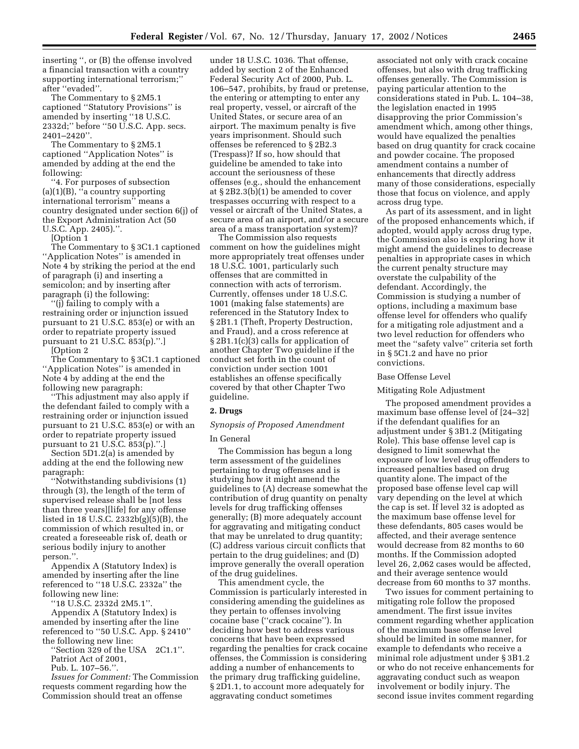inserting '', or (B) the offense involved a financial transaction with a country supporting international terrorism;'' after ''evaded''.

The Commentary to § 2M5.1 captioned ''Statutory Provisions'' is amended by inserting ''18 U.S.C. 2332d;'' before ''50 U.S.C. App. secs. 2401–2420''.

The Commentary to § 2M5.1 captioned ''Application Notes'' is amended by adding at the end the following:

''4. For purposes of subsection  $(a)(1)(B)$ , "a country supporting international terrorism'' means a country designated under section 6(j) of the Export Administration Act (50 U.S.C. App. 2405).''.

[Option 1

The Commentary to § 3C1.1 captioned ''Application Notes'' is amended in Note 4 by striking the period at the end of paragraph (i) and inserting a semicolon; and by inserting after paragraph (i) the following:

''(j) failing to comply with a restraining order or injunction issued pursuant to 21 U.S.C. 853(e) or with an order to repatriate property issued pursuant to 21 U.S.C. 853(p).''.]

[Option 2

The Commentary to § 3C1.1 captioned ''Application Notes'' is amended in Note 4 by adding at the end the following new paragraph:

''This adjustment may also apply if the defendant failed to comply with a restraining order or injunction issued pursuant to 21 U.S.C. 853(e) or with an order to repatriate property issued pursuant to 21 U.S.C. 853(p).''.]

Section 5D1.2(a) is amended by adding at the end the following new paragraph:

''Notwithstanding subdivisions (1) through (3), the length of the term of supervised release shall be [not less than three years][life] for any offense listed in 18 U.S.C. 2332b(g)(5)(B), the commission of which resulted in, or created a foreseeable risk of, death or serious bodily injury to another person.''.

Appendix A (Statutory Index) is amended by inserting after the line referenced to ''18 U.S.C. 2332a'' the following new line:

''18 U.S.C. 2332d 2M5.1''.

Appendix A (Statutory Index) is amended by inserting after the line referenced to ''50 U.S.C. App. § 2410'' the following new line:

''Section 329 of the USA 2C1.1''. Patriot Act of 2001,

Pub. L. 107–56.''.

*Issues for Comment:* The Commission requests comment regarding how the Commission should treat an offense

under 18 U.S.C. 1036. That offense, added by section 2 of the Enhanced Federal Security Act of 2000, Pub. L. 106–547, prohibits, by fraud or pretense, the entering or attempting to enter any real property, vessel, or aircraft of the United States, or secure area of an airport. The maximum penalty is five years imprisonment. Should such offenses be referenced to § 2B2.3 (Trespass)? If so, how should that guideline be amended to take into account the seriousness of these offenses (e.g., should the enhancement at § 2B2.3(b)(1) be amended to cover trespasses occurring with respect to a vessel or aircraft of the United States, a secure area of an airport, and/or a secure area of a mass transportation system)?

The Commission also requests comment on how the guidelines might more appropriately treat offenses under 18 U.S.C. 1001, particularly such offenses that are committed in connection with acts of terrorism. Currently, offenses under 18 U.S.C. 1001 (making false statements) are referenced in the Statutory Index to § 2B1.1 (Theft, Property Destruction, and Fraud), and a cross reference at § 2B1.1(c)(3) calls for application of another Chapter Two guideline if the conduct set forth in the count of conviction under section 1001 establishes an offense specifically covered by that other Chapter Two guideline.

## **2. Drugs**

# *Synopsis of Proposed Amendment*

## In General

The Commission has begun a long term assessment of the guidelines pertaining to drug offenses and is studying how it might amend the guidelines to (A) decrease somewhat the contribution of drug quantity on penalty levels for drug trafficking offenses generally; (B) more adequately account for aggravating and mitigating conduct that may be unrelated to drug quantity; (C) address various circuit conflicts that pertain to the drug guidelines; and (D) improve generally the overall operation of the drug guidelines.

This amendment cycle, the Commission is particularly interested in considering amending the guidelines as they pertain to offenses involving cocaine base (''crack cocaine''). In deciding how best to address various concerns that have been expressed regarding the penalties for crack cocaine offenses, the Commission is considering adding a number of enhancements to the primary drug trafficking guideline, § 2D1.1, to account more adequately for aggravating conduct sometimes

associated not only with crack cocaine offenses, but also with drug trafficking offenses generally. The Commission is paying particular attention to the considerations stated in Pub. L. 104–38, the legislation enacted in 1995 disapproving the prior Commission's amendment which, among other things, would have equalized the penalties based on drug quantity for crack cocaine and powder cocaine. The proposed amendment contains a number of enhancements that directly address many of those considerations, especially those that focus on violence, and apply across drug type.

As part of its assessment, and in light of the proposed enhancements which, if adopted, would apply across drug type, the Commission also is exploring how it might amend the guidelines to decrease penalties in appropriate cases in which the current penalty structure may overstate the culpability of the defendant. Accordingly, the Commission is studying a number of options, including a maximum base offense level for offenders who qualify for a mitigating role adjustment and a two level reduction for offenders who meet the ''safety valve'' criteria set forth in § 5C1.2 and have no prior convictions.

#### Base Offense Level

#### Mitigating Role Adjustment

The proposed amendment provides a maximum base offense level of [24–32] if the defendant qualifies for an adjustment under § 3B1.2 (Mitigating Role). This base offense level cap is designed to limit somewhat the exposure of low level drug offenders to increased penalties based on drug quantity alone. The impact of the proposed base offense level cap will vary depending on the level at which the cap is set. If level 32 is adopted as the maximum base offense level for these defendants, 805 cases would be affected, and their average sentence would decrease from 82 months to 60 months. If the Commission adopted level 26, 2,062 cases would be affected, and their average sentence would decrease from 60 months to 37 months.

Two issues for comment pertaining to mitigating role follow the proposed amendment. The first issue invites comment regarding whether application of the maximum base offense level should be limited in some manner, for example to defendants who receive a minimal role adjustment under § 3B1.2 or who do not receive enhancements for aggravating conduct such as weapon involvement or bodily injury. The second issue invites comment regarding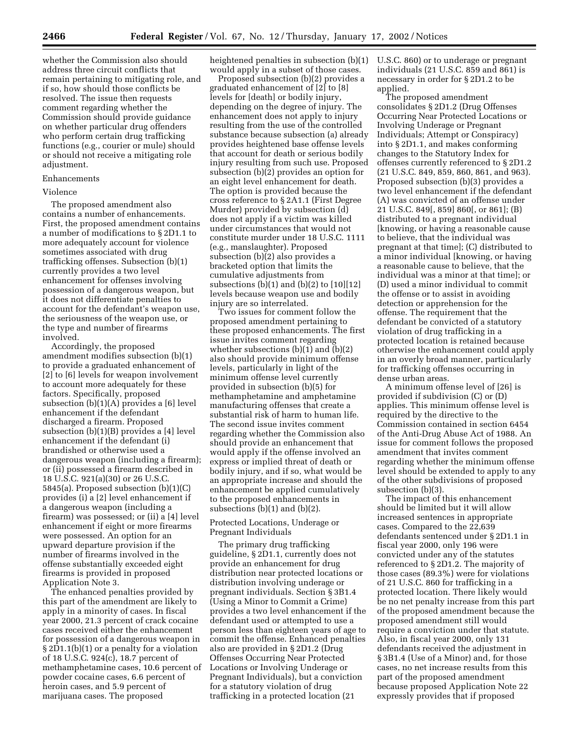whether the Commission also should address three circuit conflicts that remain pertaining to mitigating role, and if so, how should those conflicts be resolved. The issue then requests comment regarding whether the Commission should provide guidance on whether particular drug offenders who perform certain drug trafficking functions (e.g., courier or mule) should or should not receive a mitigating role adjustment.

#### Enhancements

#### Violence

The proposed amendment also contains a number of enhancements. First, the proposed amendment contains a number of modifications to § 2D1.1 to more adequately account for violence sometimes associated with drug trafficking offenses. Subsection (b)(1) currently provides a two level enhancement for offenses involving possession of a dangerous weapon, but it does not differentiate penalties to account for the defendant's weapon use, the seriousness of the weapon use, or the type and number of firearms involved.

Accordingly, the proposed amendment modifies subsection (b)(1) to provide a graduated enhancement of [2] to [6] levels for weapon involvement to account more adequately for these factors. Specifically, proposed subsection (b)(1)(A) provides a [6] level enhancement if the defendant discharged a firearm. Proposed subsection (b)(1)(B) provides a [4] level enhancement if the defendant (i) brandished or otherwise used a dangerous weapon (including a firearm); or (ii) possessed a firearm described in 18 U.S.C. 921(a)(30) or 26 U.S.C. 5845(a). Proposed subsection (b)(1)(C) provides (i) a [2] level enhancement if a dangerous weapon (including a firearm) was possessed; or (ii) a [4] level enhancement if eight or more firearms were possessed. An option for an upward departure provision if the number of firearms involved in the offense substantially exceeded eight firearms is provided in proposed Application Note 3.

The enhanced penalties provided by this part of the amendment are likely to apply in a minority of cases. In fiscal year 2000, 21.3 percent of crack cocaine cases received either the enhancement for possession of a dangerous weapon in § 2D1.1(b)(1) or a penalty for a violation of 18 U.S.C. 924(c), 18.7 percent of methamphetamine cases, 10.6 percent of powder cocaine cases, 6.6 percent of heroin cases, and 5.9 percent of marijuana cases. The proposed

heightened penalties in subsection (b)(1) would apply in a subset of those cases.

Proposed subsection (b)(2) provides a graduated enhancement of [2] to [8] levels for [death] or bodily injury, depending on the degree of injury. The enhancement does not apply to injury resulting from the use of the controlled substance because subsection (a) already provides heightened base offense levels that account for death or serious bodily injury resulting from such use. Proposed subsection (b)(2) provides an option for an eight level enhancement for death. The option is provided because the cross reference to § 2A1.1 (First Degree Murder) provided by subsection (d) does not apply if a victim was killed under circumstances that would not constitute murder under 18 U.S.C. 1111 (e.g., manslaughter). Proposed subsection (b)(2) also provides a bracketed option that limits the cumulative adjustments from subsections  $(b)(1)$  and  $(b)(2)$  to  $[10][12]$ levels because weapon use and bodily injury are so interrelated.

Two issues for comment follow the proposed amendment pertaining to these proposed enhancements. The first issue invites comment regarding whether subsections (b)(1) and (b)(2) also should provide minimum offense levels, particularly in light of the minimum offense level currently provided in subsection (b)(5) for methamphetamine and amphetamine manufacturing offenses that create a substantial risk of harm to human life. The second issue invites comment regarding whether the Commission also should provide an enhancement that would apply if the offense involved an express or implied threat of death or bodily injury, and if so, what would be an appropriate increase and should the enhancement be applied cumulatively to the proposed enhancements in subsections (b)(1) and (b)(2).

Protected Locations, Underage or Pregnant Individuals

The primary drug trafficking guideline, § 2D1.1, currently does not provide an enhancement for drug distribution near protected locations or distribution involving underage or pregnant individuals. Section § 3B1.4 (Using a Minor to Commit a Crime) provides a two level enhancement if the defendant used or attempted to use a person less than eighteen years of age to commit the offense. Enhanced penalties also are provided in § 2D1.2 (Drug Offenses Occurring Near Protected Locations or Involving Underage or Pregnant Individuals), but a conviction for a statutory violation of drug trafficking in a protected location (21

U.S.C. 860) or to underage or pregnant individuals (21 U.S.C. 859 and 861) is necessary in order for § 2D1.2 to be applied.

The proposed amendment consolidates § 2D1.2 (Drug Offenses Occurring Near Protected Locations or Involving Underage or Pregnant Individuals; Attempt or Conspiracy) into § 2D1.1, and makes conforming changes to the Statutory Index for offenses currently referenced to § 2D1.2 (21 U.S.C. 849, 859, 860, 861, and 963). Proposed subsection (b)(3) provides a two level enhancement if the defendant (A) was convicted of an offense under 21 U.S.C. 849[, 859] 860[, or 861]; (B) distributed to a pregnant individual [knowing, or having a reasonable cause to believe, that the individual was pregnant at that time]; (C) distributed to a minor individual [knowing, or having a reasonable cause to believe, that the individual was a minor at that time]; or (D) used a minor individual to commit the offense or to assist in avoiding detection or apprehension for the offense. The requirement that the defendant be convicted of a statutory violation of drug trafficking in a protected location is retained because otherwise the enhancement could apply in an overly broad manner, particularly for trafficking offenses occurring in dense urban areas.

A minimum offense level of [26] is provided if subdivision (C) or (D) applies. This minimum offense level is required by the directive to the Commission contained in section 6454 of the Anti-Drug Abuse Act of 1988. An issue for comment follows the proposed amendment that invites comment regarding whether the minimum offense level should be extended to apply to any of the other subdivisions of proposed subsection (b)(3).

The impact of this enhancement should be limited but it will allow increased sentences in appropriate cases. Compared to the 22,639 defendants sentenced under § 2D1.1 in fiscal year 2000, only 196 were convicted under any of the statutes referenced to § 2D1.2. The majority of those cases (89.3%) were for violations of 21 U.S.C. 860 for trafficking in a protected location. There likely would be no net penalty increase from this part of the proposed amendment because the proposed amendment still would require a conviction under that statute. Also, in fiscal year 2000, only 131 defendants received the adjustment in § 3B1.4 (Use of a Minor) and, for those cases, no net increase results from this part of the proposed amendment because proposed Application Note 22 expressly provides that if proposed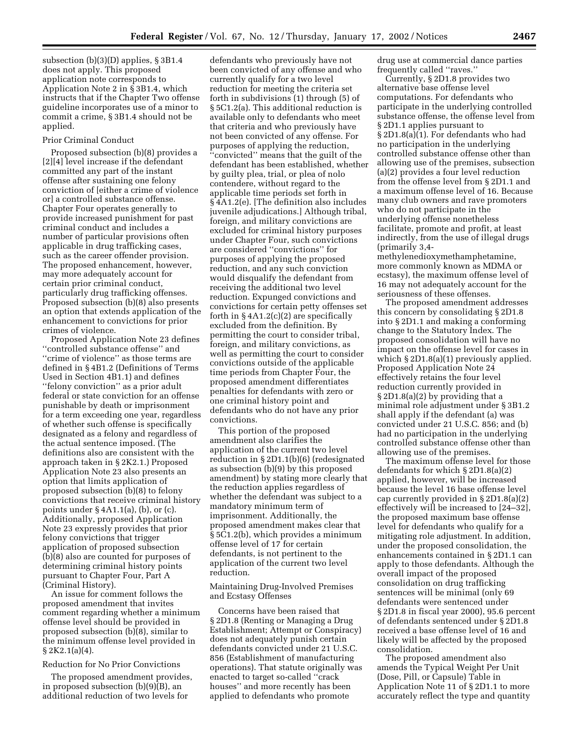subsection (b)(3)(D) applies, § 3B1.4 does not apply. This proposed application note corresponds to Application Note 2 in § 3B1.4, which instructs that if the Chapter Two offense guideline incorporates use of a minor to commit a crime, § 3B1.4 should not be applied.

## Prior Criminal Conduct

Proposed subsection (b)(8) provides a [2][4] level increase if the defendant committed any part of the instant offense after sustaining one felony conviction of [either a crime of violence or] a controlled substance offense. Chapter Four operates generally to provide increased punishment for past criminal conduct and includes a number of particular provisions often applicable in drug trafficking cases, such as the career offender provision. The proposed enhancement, however, may more adequately account for certain prior criminal conduct, particularly drug trafficking offenses. Proposed subsection (b)(8) also presents an option that extends application of the enhancement to convictions for prior crimes of violence.

Proposed Application Note 23 defines ''controlled substance offense'' and ''crime of violence'' as those terms are defined in § 4B1.2 (Definitions of Terms Used in Section 4B1.1) and defines ''felony conviction'' as a prior adult federal or state conviction for an offense punishable by death or imprisonment for a term exceeding one year, regardless of whether such offense is specifically designated as a felony and regardless of the actual sentence imposed. (The definitions also are consistent with the approach taken in § 2K2.1.) Proposed Application Note 23 also presents an option that limits application of proposed subsection (b)(8) to felony convictions that receive criminal history points under § 4A1.1(a), (b), or (c). Additionally, proposed Application Note 23 expressly provides that prior felony convictions that trigger application of proposed subsection (b)(8) also are counted for purposes of determining criminal history points pursuant to Chapter Four, Part A (Criminal History).

An issue for comment follows the proposed amendment that invites comment regarding whether a minimum offense level should be provided in proposed subsection (b)(8), similar to the minimum offense level provided in  $\S 2K2.1(a)(4)$ .

# Reduction for No Prior Convictions

The proposed amendment provides, in proposed subsection (b)(9)(B), an additional reduction of two levels for

defendants who previously have not been convicted of any offense and who currently qualify for a two level reduction for meeting the criteria set forth in subdivisions (1) through (5) of § 5C1.2(a). This additional reduction is available only to defendants who meet that criteria and who previously have not been convicted of any offense. For purposes of applying the reduction, ''convicted'' means that the guilt of the defendant has been established, whether by guilty plea, trial, or plea of nolo contendere, without regard to the applicable time periods set forth in § 4A1.2(e). [The definition also includes juvenile adjudications.] Although tribal, foreign, and military convictions are excluded for criminal history purposes under Chapter Four, such convictions are considered ''convictions'' for purposes of applying the proposed reduction, and any such conviction would disqualify the defendant from receiving the additional two level reduction. Expunged convictions and convictions for certain petty offenses set forth in § 4A1.2(c)(2) are specifically excluded from the definition. By permitting the court to consider tribal, foreign, and military convictions, as well as permitting the court to consider convictions outside of the applicable time periods from Chapter Four, the proposed amendment differentiates penalties for defendants with zero or one criminal history point and defendants who do not have any prior convictions.

This portion of the proposed amendment also clarifies the application of the current two level reduction in § 2D1.1(b)(6) (redesignated as subsection (b)(9) by this proposed amendment) by stating more clearly that the reduction applies regardless of whether the defendant was subject to a mandatory minimum term of imprisonment. Additionally, the proposed amendment makes clear that § 5C1.2(b), which provides a minimum offense level of 17 for certain defendants, is not pertinent to the application of the current two level reduction.

Maintaining Drug-Involved Premises and Ecstasy Offenses

Concerns have been raised that § 2D1.8 (Renting or Managing a Drug Establishment; Attempt or Conspiracy) does not adequately punish certain defendants convicted under 21 U.S.C. 856 (Establishment of manufacturing operations). That statute originally was enacted to target so-called ''crack houses'' and more recently has been applied to defendants who promote

drug use at commercial dance parties frequently called ''raves.''

Currently, § 2D1.8 provides two alternative base offense level computations. For defendants who participate in the underlying controlled substance offense, the offense level from § 2D1.1 applies pursuant to § 2D1.8(a)(1). For defendants who had no participation in the underlying controlled substance offense other than allowing use of the premises, subsection (a)(2) provides a four level reduction from the offense level from § 2D1.1 and a maximum offense level of 16. Because many club owners and rave promoters who do not participate in the underlying offense nonetheless facilitate, promote and profit, at least indirectly, from the use of illegal drugs (primarily 3,4-

methylenedioxymethamphetamine, more commonly known as MDMA or ecstasy), the maximum offense level of 16 may not adequately account for the seriousness of these offenses.

The proposed amendment addresses this concern by consolidating § 2D1.8 into § 2D1.1 and making a conforming change to the Statutory Index. The proposed consolidation will have no impact on the offense level for cases in which  $\S 2D1.8(a)(1)$  previously applied. Proposed Application Note 24 effectively retains the four level reduction currently provided in § 2D1.8(a)(2) by providing that a minimal role adjustment under § 3B1.2 shall apply if the defendant (a) was convicted under 21 U.S.C. 856; and (b) had no participation in the underlying controlled substance offense other than allowing use of the premises.

The maximum offense level for those defendants for which § 2D1.8(a)(2) applied, however, will be increased because the level 16 base offense level cap currently provided in § 2D1.8(a)(2) effectively will be increased to [24–32], the proposed maximum base offense level for defendants who qualify for a mitigating role adjustment. In addition, under the proposed consolidation, the enhancements contained in § 2D1.1 can apply to those defendants. Although the overall impact of the proposed consolidation on drug trafficking sentences will be minimal (only 69 defendants were sentenced under § 2D1.8 in fiscal year 2000), 95.6 percent of defendants sentenced under § 2D1.8 received a base offense level of 16 and likely will be affected by the proposed consolidation.

The proposed amendment also amends the Typical Weight Per Unit (Dose, Pill, or Capsule) Table in Application Note 11 of § 2D1.1 to more accurately reflect the type and quantity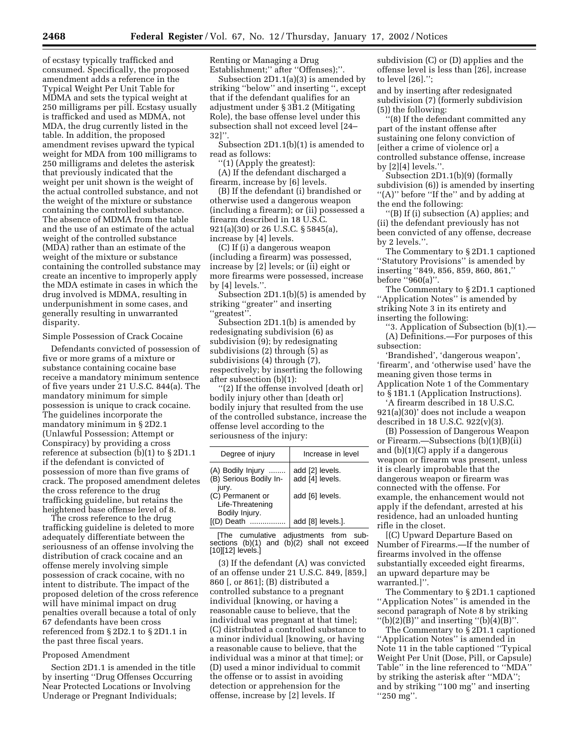of ecstasy typically trafficked and consumed. Specifically, the proposed amendment adds a reference in the Typical Weight Per Unit Table for MDMA and sets the typical weight at 250 milligrams per pill. Ecstasy usually is trafficked and used as MDMA, not MDA, the drug currently listed in the table. In addition, the proposed amendment revises upward the typical weight for MDA from 100 milligrams to 250 milligrams and deletes the asterisk that previously indicated that the weight per unit shown is the weight of the actual controlled substance, and not the weight of the mixture or substance containing the controlled substance. The absence of MDMA from the table and the use of an estimate of the actual weight of the controlled substance (MDA) rather than an estimate of the weight of the mixture or substance containing the controlled substance may create an incentive to improperly apply the MDA estimate in cases in which the drug involved is MDMA, resulting in underpunishment in some cases, and generally resulting in unwarranted disparity.

Simple Possession of Crack Cocaine

Defendants convicted of possession of five or more grams of a mixture or substance containing cocaine base receive a mandatory minimum sentence of five years under 21 U.S.C. 844(a). The mandatory minimum for simple possession is unique to crack cocaine. The guidelines incorporate the mandatory minimum in § 2D2.1 (Unlawful Possession; Attempt or Conspiracy) by providing a cross reference at subsection (b)(1) to § 2D1.1 if the defendant is convicted of possession of more than five grams of crack. The proposed amendment deletes the cross reference to the drug trafficking guideline, but retains the heightened base offense level of 8.

The cross reference to the drug trafficking guideline is deleted to more adequately differentiate between the seriousness of an offense involving the distribution of crack cocaine and an offense merely involving simple possession of crack cocaine, with no intent to distribute. The impact of the proposed deletion of the cross reference will have minimal impact on drug penalties overall because a total of only 67 defendants have been cross referenced from § 2D2.1 to § 2D1.1 in the past three fiscal years.

# Proposed Amendment

Section 2D1.1 is amended in the title by inserting ''Drug Offenses Occurring Near Protected Locations or Involving Underage or Pregnant Individuals;

Renting or Managing a Drug Establishment;" after "Offenses);"

Subsection 2D1.1(a)(3) is amended by striking ''below'' and inserting '', except that if the defendant qualifies for an adjustment under § 3B1.2 (Mitigating Role), the base offense level under this subsection shall not exceed level [24– 32]''.

Subsection 2D1.1(b)(1) is amended to read as follows:

''(1) (Apply the greatest):

(A) If the defendant discharged a firearm, increase by [6] levels.

(B) If the defendant (i) brandished or otherwise used a dangerous weapon (including a firearm); or (ii) possessed a firearm described in 18 U.S.C. 921(a)(30) or 26 U.S.C. § 5845(a), increase by [4] levels.

(C) If (i) a dangerous weapon (including a firearm) was possessed, increase by [2] levels; or (ii) eight or more firearms were possessed, increase by [4] levels.''.

Subsection 2D1.1(b)(5) is amended by striking ''greater'' and inserting ''greatest''.

Subsection 2D1.1(b) is amended by redesignating subdivision (6) as subdivision  $(9)$ ; by redesignating subdivisions (2) through (5) as subdivisions (4) through (7), respectively; by inserting the following after subsection (b)(1):

''(2) If the offense involved [death or] bodily injury other than [death or] bodily injury that resulted from the use of the controlled substance, increase the offense level according to the seriousness of the injury:

| Degree of injury                                       | Increase in level                  |
|--------------------------------------------------------|------------------------------------|
| (A) Bodily Injury<br>(B) Serious Bodily In-<br>jury.   | add [2] levels.<br>add [4] levels. |
| (C) Permanent or<br>Life-Threatening<br>Bodily Injury. | add [6] levels.                    |
| [(D) Death                                             | add [8] levels.].                  |

[The cumulative adjustments from subsections  $(b)(1)$  and  $(b)(2)$  shall not exceed [10][12] levels.]

(3) If the defendant (A) was convicted of an offense under 21 U.S.C. 849, [859,] 860 [, or 861]; (B) distributed a controlled substance to a pregnant individual [knowing, or having a reasonable cause to believe, that the individual was pregnant at that time]; (C) distributed a controlled substance to a minor individual [knowing, or having a reasonable cause to believe, that the individual was a minor at that time]; or (D) used a minor individual to commit the offense or to assist in avoiding detection or apprehension for the offense, increase by [2] levels. If

subdivision (C) or (D) applies and the offense level is less than [26], increase to level [26].'';

and by inserting after redesignated subdivision (7) (formerly subdivision (5)) the following:

''(8) If the defendant committed any part of the instant offense after sustaining one felony conviction of [either a crime of violence or] a controlled substance offense, increase by [2][4] levels.''.

Subsection 2D1.1(b)(9) (formally subdivision (6)) is amended by inserting ''(A)'' before ''If the'' and by adding at the end the following:

''(B) If (i) subsection (A) applies; and (ii) the defendant previously has not been convicted of any offense, decrease by 2 levels.''.

The Commentary to § 2D1.1 captioned ''Statutory Provisions'' is amended by inserting ''849, 856, 859, 860, 861,'' before ''960(a)''.

The Commentary to § 2D1.1 captioned ''Application Notes'' is amended by striking Note 3 in its entirety and inserting the following:

''3. Application of Subsection (b)(1).— (A) Definitions.—For purposes of this subsection:

'Brandished', 'dangerous weapon', 'firearm', and 'otherwise used' have the meaning given those terms in Application Note 1 of the Commentary to § 1B1.1 (Application Instructions).

'A firearm described in 18 U.S.C. 921(a)(30)' does not include a weapon described in 18 U.S.C. 922(v)(3).

(B) Possession of Dangerous Weapon or Firearm.—Subsections (b)(1)(B)(ii) and (b)(1)(C) apply if a dangerous weapon or firearm was present, unless it is clearly improbable that the dangerous weapon or firearm was connected with the offense. For example, the enhancement would not apply if the defendant, arrested at his residence, had an unloaded hunting rifle in the closet.

[(C) Upward Departure Based on Number of Firearms.—If the number of firearms involved in the offense substantially exceeded eight firearms, an upward departure may be warranted.]''.

The Commentary to § 2D1.1 captioned ''Application Notes'' is amended in the second paragraph of Note 8 by striking "(b)(2)(B)" and inserting "(b)(4)(B)".

The Commentary to § 2D1.1 captioned ''Application Notes'' is amended in Note 11 in the table captioned ''Typical Weight Per Unit (Dose, Pill, or Capsule) Table'' in the line referenced to ''MDA'' by striking the asterisk after ''MDA''; and by striking ''100 mg'' and inserting ''250 mg''.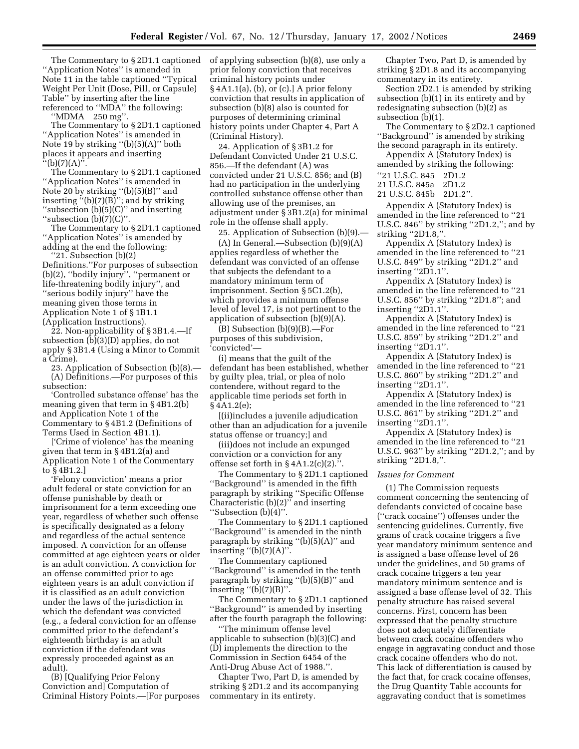The Commentary to § 2D1.1 captioned ''Application Notes'' is amended in Note 11 in the table captioned ''Typical Weight Per Unit (Dose, Pill, or Capsule) Table'' by inserting after the line referenced to ''MDA'' the following:

''MDMA 250 mg''.

The Commentary to § 2D1.1 captioned ''Application Notes'' is amended in Note 19 by striking ''(b)(5)(A)'' both places it appears and inserting  $'(b)(7)(A)$ ".

The Commentary to § 2D1.1 captioned ''Application Notes'' is amended in Note 20 by striking "(b)(5)(B)" and inserting ''(b)(7)(B)''; and by striking ''subsection (b)(5)(C)'' and inserting "subsection  $(b)(7)(C)$ "

The Commentary to § 2D1.1 captioned "Application Notes" is amended by adding at the end the following:

''21. Subsection (b)(2) Definitions.''For purposes of subsection (b)(2), ''bodily injury'', ''permanent or life-threatening bodily injury'', and ''serious bodily injury'' have the meaning given those terms in Application Note 1 of § 1B1.1 (Application Instructions).

22. Non-applicability of § 3B1.4.—If subsection (b)(3)(D) applies, do not apply § 3B1.4 (Using a Minor to Commit a Crime).

23. Application of Subsection (b)(8).— (A) Definitions.—For purposes of this subsection:

'Controlled substance offense' has the meaning given that term in § 4B1.2(b) and Application Note 1 of the Commentary to § 4B1.2 (Definitions of Terms Used in Section 4B1.1).

['Crime of violence' has the meaning given that term in § 4B1.2(a) and Application Note 1 of the Commentary to § 4B1.2.]

'Felony conviction' means a prior adult federal or state conviction for an offense punishable by death or imprisonment for a term exceeding one year, regardless of whether such offense is specifically designated as a felony and regardless of the actual sentence imposed. A conviction for an offense committed at age eighteen years or older is an adult conviction. A conviction for an offense committed prior to age eighteen years is an adult conviction if it is classified as an adult conviction under the laws of the jurisdiction in which the defendant was convicted (e.g., a federal conviction for an offense committed prior to the defendant's eighteenth birthday is an adult conviction if the defendant was expressly proceeded against as an adult).

(B) [Qualifying Prior Felony Conviction and] Computation of Criminal History Points.—[For purposes of applying subsection (b)(8), use only a prior felony conviction that receives criminal history points under § 4A1.1(a), (b), or (c).] A prior felony conviction that results in application of subsection (b)(8) also is counted for purposes of determining criminal history points under Chapter 4, Part A (Criminal History).

24. Application of § 3B1.2 for Defendant Convicted Under 21 U.S.C. 856.—If the defendant (A) was convicted under 21 U.S.C. 856; and (B) had no participation in the underlying controlled substance offense other than allowing use of the premises, an adjustment under § 3B1.2(a) for minimal role in the offense shall apply.

25. Application of Subsection (b)(9).— (A) In General.—Subsection (b)(9)(A) applies regardless of whether the defendant was convicted of an offense that subjects the defendant to a mandatory minimum term of imprisonment. Section § 5C1.2(b), which provides a minimum offense level of level 17, is not pertinent to the application of subsection (b)(9)(A).

(B) Subsection (b)(9)(B).—For purposes of this subdivision, 'convicted'—

(i) means that the guilt of the defendant has been established, whether by guilty plea, trial, or plea of nolo contendere, without regard to the applicable time periods set forth in § 4A1.2(e);

[(ii)includes a juvenile adjudication other than an adjudication for a juvenile status offense or truancy;] and

(iii)does not include an expunged conviction or a conviction for any offense set forth in  $\S 4A1.2(c)(2)$ .".

The Commentary to § 2D1.1 captioned ''Background'' is amended in the fifth paragraph by striking ''Specific Offense Characteristic (b)(2)'' and inserting ''Subsection (b)(4)''.

The Commentary to § 2D1.1 captioned ''Background'' is amended in the ninth paragraph by striking  $''(b)(5)(A)''$  and inserting  $"({\rm b})(7)({\rm A})"$ .

The Commentary captioned ''Background'' is amended in the tenth paragraph by striking ''(b)(5)(B)'' and inserting  $'(b)(7)(B)$ ".

The Commentary to § 2D1.1 captioned ''Background'' is amended by inserting after the fourth paragraph the following:

''The minimum offense level applicable to subsection (b)(3)(C) and (D) implements the direction to the Commission in Section 6454 of the Anti-Drug Abuse Act of 1988.''.

Chapter Two, Part D, is amended by striking § 2D1.2 and its accompanying commentary in its entirety.

Chapter Two, Part D, is amended by striking § 2D1.8 and its accompanying commentary in its entirety.

Section 2D2.1 is amended by striking subsection (b)(1) in its entirety and by redesignating subsection (b)(2) as subsection (b)(1).

The Commentary to § 2D2.1 captioned ''Background'' is amended by striking the second paragraph in its entirety.

Appendix A (Statutory Index) is amended by striking the following:

''21 U.S.C. 845 2D1.2

21 U.S.C. 845a 2D1.2

21 U.S.C. 845b 2D1.2''.

Appendix A (Statutory Index) is amended in the line referenced to ''21 U.S.C. 846'' by striking ''2D1.2,''; and by striking ''2D1.8,''.

Appendix A (Statutory Index) is amended in the line referenced to ''21 U.S.C. 849'' by striking ''2D1.2'' and inserting ''2D1.1''.

Appendix A (Statutory Index) is amended in the line referenced to ''21 U.S.C. 856'' by striking ''2D1.8''; and inserting ''2D1.1''.

Appendix A (Statutory Index) is amended in the line referenced to ''21 U.S.C. 859'' by striking ''2D1.2'' and inserting "2D1.1".

Appendix A (Statutory Index) is amended in the line referenced to ''21 U.S.C. 860'' by striking ''2D1.2'' and inserting ''2D1.1''.

Appendix A (Statutory Index) is amended in the line referenced to ''21 U.S.C. 861'' by striking ''2D1.2'' and inserting "2D1.1".

Appendix A (Statutory Index) is amended in the line referenced to ''21 U.S.C. 963'' by striking ''2D1.2,''; and by striking ''2D1.8,''.

# *Issues for Comment*

(1) The Commission requests comment concerning the sentencing of defendants convicted of cocaine base (''crack cocaine'') offenses under the sentencing guidelines. Currently, five grams of crack cocaine triggers a five year mandatory minimum sentence and is assigned a base offense level of 26 under the guidelines, and 50 grams of crack cocaine triggers a ten year mandatory minimum sentence and is assigned a base offense level of 32. This penalty structure has raised several concerns. First, concern has been expressed that the penalty structure does not adequately differentiate between crack cocaine offenders who engage in aggravating conduct and those crack cocaine offenders who do not. This lack of differentiation is caused by the fact that, for crack cocaine offenses, the Drug Quantity Table accounts for aggravating conduct that is sometimes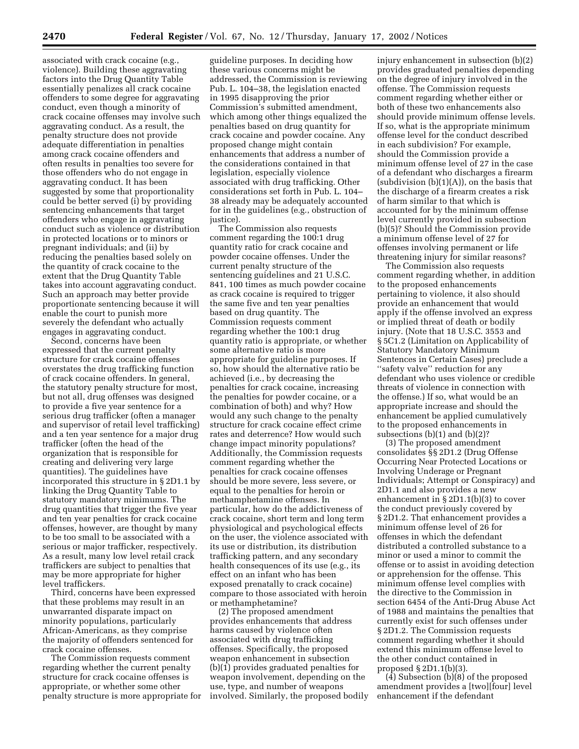associated with crack cocaine (e.g., violence). Building these aggravating factors into the Drug Quantity Table essentially penalizes all crack cocaine offenders to some degree for aggravating conduct, even though a minority of crack cocaine offenses may involve such aggravating conduct. As a result, the penalty structure does not provide adequate differentiation in penalties among crack cocaine offenders and often results in penalties too severe for those offenders who do not engage in aggravating conduct. It has been suggested by some that proportionality could be better served (i) by providing sentencing enhancements that target offenders who engage in aggravating conduct such as violence or distribution in protected locations or to minors or pregnant individuals; and (ii) by reducing the penalties based solely on the quantity of crack cocaine to the extent that the Drug Quantity Table takes into account aggravating conduct. Such an approach may better provide proportionate sentencing because it will enable the court to punish more severely the defendant who actually engages in aggravating conduct.

Second, concerns have been expressed that the current penalty structure for crack cocaine offenses overstates the drug trafficking function of crack cocaine offenders. In general, the statutory penalty structure for most, but not all, drug offenses was designed to provide a five year sentence for a serious drug trafficker (often a manager and supervisor of retail level trafficking) and a ten year sentence for a major drug trafficker (often the head of the organization that is responsible for creating and delivering very large quantities). The guidelines have incorporated this structure in § 2D1.1 by linking the Drug Quantity Table to statutory mandatory minimums. The drug quantities that trigger the five year and ten year penalties for crack cocaine offenses, however, are thought by many to be too small to be associated with a serious or major trafficker, respectively. As a result, many low level retail crack traffickers are subject to penalties that may be more appropriate for higher level traffickers.

Third, concerns have been expressed that these problems may result in an unwarranted disparate impact on minority populations, particularly African-Americans, as they comprise the majority of offenders sentenced for crack cocaine offenses.

The Commission requests comment regarding whether the current penalty structure for crack cocaine offenses is appropriate, or whether some other penalty structure is more appropriate for

guideline purposes. In deciding how these various concerns might be addressed, the Commission is reviewing Pub. L. 104–38, the legislation enacted in 1995 disapproving the prior Commission's submitted amendment, which among other things equalized the penalties based on drug quantity for crack cocaine and powder cocaine. Any proposed change might contain enhancements that address a number of the considerations contained in that legislation, especially violence associated with drug trafficking. Other considerations set forth in Pub. L. 104– 38 already may be adequately accounted for in the guidelines (e.g., obstruction of justice).

The Commission also requests comment regarding the 100:1 drug quantity ratio for crack cocaine and powder cocaine offenses. Under the current penalty structure of the sentencing guidelines and 21 U.S.C. 841, 100 times as much powder cocaine as crack cocaine is required to trigger the same five and ten year penalties based on drug quantity. The Commission requests comment regarding whether the 100:1 drug quantity ratio is appropriate, or whether some alternative ratio is more appropriate for guideline purposes. If so, how should the alternative ratio be achieved (i.e., by decreasing the penalties for crack cocaine, increasing the penalties for powder cocaine, or a combination of both) and why? How would any such change to the penalty structure for crack cocaine effect crime rates and deterrence? How would such change impact minority populations? Additionally, the Commission requests comment regarding whether the penalties for crack cocaine offenses should be more severe, less severe, or equal to the penalties for heroin or methamphetamine offenses. In particular, how do the addictiveness of crack cocaine, short term and long term physiological and psychological effects on the user, the violence associated with its use or distribution, its distribution trafficking pattern, and any secondary health consequences of its use (e.g., its effect on an infant who has been exposed prenatally to crack cocaine) compare to those associated with heroin or methamphetamine?

(2) The proposed amendment provides enhancements that address harms caused by violence often associated with drug trafficking offenses. Specifically, the proposed weapon enhancement in subsection (b)(1) provides graduated penalties for weapon involvement, depending on the use, type, and number of weapons involved. Similarly, the proposed bodily injury enhancement in subsection (b)(2) provides graduated penalties depending on the degree of injury involved in the offense. The Commission requests comment regarding whether either or both of these two enhancements also should provide minimum offense levels. If so, what is the appropriate minimum offense level for the conduct described in each subdivision? For example, should the Commission provide a minimum offense level of 27 in the case of a defendant who discharges a firearm (subdivision  $(b)(1)(A)$ ), on the basis that the discharge of a firearm creates a risk of harm similar to that which is accounted for by the minimum offense level currently provided in subsection (b)(5)? Should the Commission provide a minimum offense level of 27 for offenses involving permanent or life threatening injury for similar reasons?

The Commission also requests comment regarding whether, in addition to the proposed enhancements pertaining to violence, it also should provide an enhancement that would apply if the offense involved an express or implied threat of death or bodily injury. (Note that 18 U.S.C. 3553 and § 5C1.2 (Limitation on Applicability of Statutory Mandatory Minimum Sentences in Certain Cases) preclude a ''safety valve'' reduction for any defendant who uses violence or credible threats of violence in connection with the offense.) If so, what would be an appropriate increase and should the enhancement be applied cumulatively to the proposed enhancements in subsections (b)(1) and (b)(2)?

(3) The proposed amendment consolidates §§ 2D1.2 (Drug Offense Occurring Near Protected Locations or Involving Underage or Pregnant Individuals; Attempt or Conspiracy) and 2D1.1 and also provides a new enhancement in § 2D1.1(b)(3) to cover the conduct previously covered by § 2D1.2. That enhancement provides a minimum offense level of 26 for offenses in which the defendant distributed a controlled substance to a minor or used a minor to commit the offense or to assist in avoiding detection or apprehension for the offense. This minimum offense level complies with the directive to the Commission in section 6454 of the Anti-Drug Abuse Act of 1988 and maintains the penalties that currently exist for such offenses under § 2D1.2. The Commission requests comment regarding whether it should extend this minimum offense level to the other conduct contained in proposed § 2D1.1(b)(3).

(4) Subsection (b)(8) of the proposed amendment provides a [two][four] level enhancement if the defendant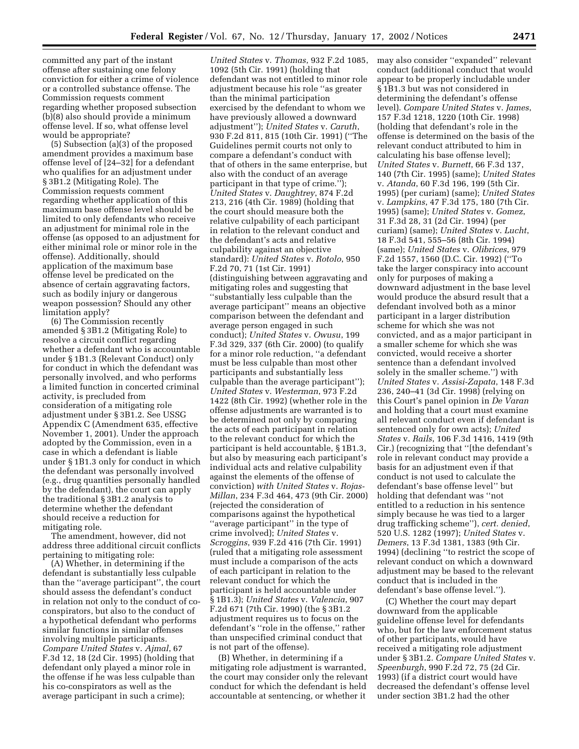committed any part of the instant offense after sustaining one felony conviction for either a crime of violence or a controlled substance offense. The Commission requests comment regarding whether proposed subsection (b)(8) also should provide a minimum offense level. If so, what offense level would be appropriate?

(5) Subsection (a)(3) of the proposed amendment provides a maximum base offense level of [24–32] for a defendant who qualifies for an adjustment under § 3B1.2 (Mitigating Role). The Commission requests comment regarding whether application of this maximum base offense level should be limited to only defendants who receive an adjustment for minimal role in the offense (as opposed to an adjustment for either minimal role or minor role in the offense). Additionally, should application of the maximum base offense level be predicated on the absence of certain aggravating factors, such as bodily injury or dangerous weapon possession? Should any other limitation apply?

(6) The Commission recently amended § 3B1.2 (Mitigating Role) to resolve a circuit conflict regarding whether a defendant who is accountable under § 1B1.3 (Relevant Conduct) only for conduct in which the defendant was personally involved, and who performs a limited function in concerted criminal activity, is precluded from consideration of a mitigating role adjustment under § 3B1.2. See USSG Appendix C (Amendment 635, effective November 1, 2001). Under the approach adopted by the Commission, even in a case in which a defendant is liable under § 1B1.3 only for conduct in which the defendant was personally involved (e.g., drug quantities personally handled by the defendant), the court can apply the traditional § 3B1.2 analysis to determine whether the defendant should receive a reduction for mitigating role.

The amendment, however, did not address three additional circuit conflicts pertaining to mitigating role:

(A) Whether, in determining if the defendant is substantially less culpable than the ''average participant'', the court should assess the defendant's conduct in relation not only to the conduct of coconspirators, but also to the conduct of a hypothetical defendant who performs similar functions in similar offenses involving multiple participants. *Compare United States* v. *Ajmal*, 67 F.3d 12, 18 (2d Cir. 1995) (holding that defendant only played a minor role in the offense if he was less culpable than his co-conspirators as well as the average participant in such a crime);

*United States* v. *Thomas*, 932 F.2d 1085, 1092 (5th Cir. 1991) (holding that defendant was not entitled to minor role adjustment because his role ''as greater than the minimal participation exercised by the defendant to whom we have previously allowed a downward adjustment''); *United States* v. *Caruth*, 930 F.2d 811, 815 (10th Cir. 1991) (''The Guidelines permit courts not only to compare a defendant's conduct with that of others in the same enterprise, but also with the conduct of an average participant in that type of crime.''); *United States* v. *Daughtrey*, 874 F.2d 213, 216 (4th Cir. 1989) (holding that the court should measure both the relative culpability of each participant in relation to the relevant conduct and the defendant's acts and relative culpability against an objective standard): *United States* v. *Rotolo*, 950 F.2d 70, 71 (1st Cir. 1991) (distinguishing between aggravating and mitigating roles and suggesting that ''substantially less culpable than the average participant'' means an objective comparison between the defendant and average person engaged in such conduct); *United States* v. *Owusu*, 199 F.3d 329, 337 (6th Cir. 2000) (to qualify for a minor role reduction, ''a defendant must be less culpable than most other participants and substantially less culpable than the average participant''); *United States* v. *Westerman*, 973 F.2d 1422 (8th Cir. 1992) (whether role in the offense adjustments are warranted is to be determined not only by comparing the acts of each participant in relation to the relevant conduct for which the participant is held accountable, § 1B1.3, but also by measuring each participant's individual acts and relative culpability against the elements of the offense of conviction) *with United States* v. *Rojas-Millan*, 234 F.3d 464, 473 (9th Cir. 2000) (rejected the consideration of comparisons against the hypothetical ''average participant'' in the type of crime involved); *United States* v. *Scroggins*, 939 F.2d 416 (7th Cir. 1991) (ruled that a mitigating role assessment must include a comparison of the acts of each participant in relation to the relevant conduct for which the participant is held accountable under § 1B1.3); *United States* v. *Valencia*, 907 F.2d 671 (7th Cir. 1990) (the § 3B1.2 adjustment requires us to focus on the defendant's ''role in the offense,'' rather than unspecified criminal conduct that is not part of the offense).

(B) Whether, in determining if a mitigating role adjustment is warranted, the court may consider only the relevant conduct for which the defendant is held accountable at sentencing, or whether it

may also consider ''expanded'' relevant conduct (additional conduct that would appear to be properly includable under § 1B1.3 but was not considered in determining the defendant's offense level). *Compare United States* v. *James*, 157 F.3d 1218, 1220 (10th Cir. 1998) (holding that defendant's role in the offense is determined on the basis of the relevant conduct attributed to him in calculating his base offense level); *United States* v. *Burnett*, 66 F.3d 137, 140 (7th Cir. 1995) (same); *United States* v. *Atanda*, 60 F.3d 196, 199 (5th Cir. 1995) (per curiam) (same); *United States* v. *Lampkins*, 47 F.3d 175, 180 (7th Cir. 1995) (same); *United States* v. *Gomez*, 31 F.3d 28, 31 (2d Cir. 1994) (per curiam) (same); *United States* v. *Lucht*, 18 F.3d 541, 555–56 (8th Cir. 1994) (same); *United States* v. *Olibrices*, 979 F.2d 1557, 1560 (D.C. Cir. 1992) (''To take the larger conspiracy into account only for purposes of making a downward adjustment in the base level would produce the absurd result that a defendant involved both as a minor participant in a larger distribution scheme for which she was not convicted, and as a major participant in a smaller scheme for which she was convicted, would receive a shorter sentence than a defendant involved solely in the smaller scheme.'') with *United States* v. *Assisi-Zapata*, 148 F.3d 236, 240–41 (3d Cir. 1998) (relying on this Court's panel opinion in *De Varan* and holding that a court must examine all relevant conduct even if defendant is sentenced only for own acts); *United States* v. *Rails*, 106 F.3d 1416, 1419 (9th Cir.) (recognizing that ''[the defendant's role in relevant conduct may provide a basis for an adjustment even if that conduct is not used to calculate the defendant's base offense level'' but holding that defendant was ''not entitled to a reduction in his sentence simply because he was tied to a larger drug trafficking scheme''), *cert. denied*, 520 U.S. 1282 (1997); *United States* v. *Demers*, 13 F.3d 1381, 1383 (9th Cir. 1994) (declining ''to restrict the scope of relevant conduct on which a downward adjustment may be based to the relevant conduct that is included in the defendant's base offense level.'').

(C) Whether the court may depart downward from the applicable guideline offense level for defendants who, but for the law enforcement status of other participants, would have received a mitigating role adjustment under § 3B1.2. *Compare United States* v. *Speenburgh*, 990 F.2d 72, 75 (2d Cir. 1993) (if a district court would have decreased the defendant's offense level under section 3B1.2 had the other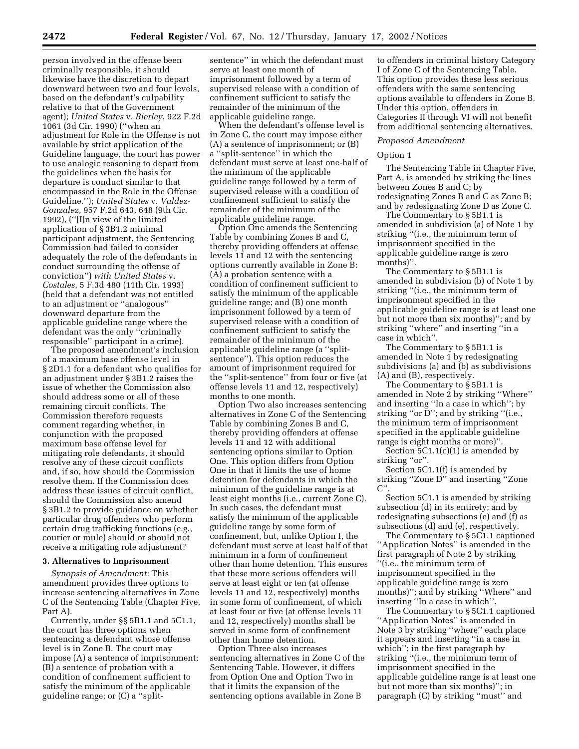person involved in the offense been criminally responsible, it should likewise have the discretion to depart downward between two and four levels, based on the defendant's culpability relative to that of the Government agent); *United States* v. *Bierley*, 922 F.2d 1061 (3d Cir. 1990) (''when an adjustment for Role in the Offense is not available by strict application of the Guideline language, the court has power to use analogic reasoning to depart from the guidelines when the basis for departure is conduct similar to that encompassed in the Role in the Offense Guideline.''); *United States* v. *Valdez-Gonzalez*, 957 F.2d 643, 648 (9th Cir. 1992), (''[I]n view of the limited application of § 3B1.2 minimal participant adjustment, the Sentencing Commission had failed to consider adequately the role of the defendants in conduct surrounding the offense of conviction'') *with United States* v. *Costales*, 5 F.3d 480 (11th Cir. 1993) (held that a defendant was not entitled to an adjustment or ''analogous'' downward departure from the applicable guideline range where the defendant was the only ''criminally responsible'' participant in a crime).

The proposed amendment's inclusion of a maximum base offense level in § 2D1.1 for a defendant who qualifies for an adjustment under § 3B1.2 raises the issue of whether the Commission also should address some or all of these remaining circuit conflicts. The Commission therefore requests comment regarding whether, in conjunction with the proposed maximum base offense level for mitigating role defendants, it should resolve any of these circuit conflicts and, if so, how should the Commission resolve them. If the Commission does address these issues of circuit conflict, should the Commission also amend § 3B1.2 to provide guidance on whether particular drug offenders who perform certain drug trafficking functions (e.g., courier or mule) should or should not receive a mitigating role adjustment?

# **3. Alternatives to Imprisonment**

*Synopsis of Amendment:* This amendment provides three options to increase sentencing alternatives in Zone C of the Sentencing Table (Chapter Five, Part A).

Currently, under §§ 5B1.1 and 5C1.1, the court has three options when sentencing a defendant whose offense level is in Zone B. The court may impose (A) a sentence of imprisonment; (B) a sentence of probation with a condition of confinement sufficient to satisfy the minimum of the applicable guideline range; or (C) a ''split-

sentence'' in which the defendant must serve at least one month of imprisonment followed by a term of supervised release with a condition of confinement sufficient to satisfy the remainder of the minimum of the applicable guideline range.

When the defendant's offense level is in Zone C, the court may impose either (A) a sentence of imprisonment; or (B) a ''split-sentence'' in which the defendant must serve at least one-half of the minimum of the applicable guideline range followed by a term of supervised release with a condition of confinement sufficient to satisfy the remainder of the minimum of the applicable guideline range.

Option One amends the Sentencing Table by combining Zones B and C, thereby providing offenders at offense levels 11 and 12 with the sentencing options currently available in Zone B: (A) a probation sentence with a condition of confinement sufficient to satisfy the minimum of the applicable guideline range; and (B) one month imprisonment followed by a term of supervised release with a condition of confinement sufficient to satisfy the remainder of the minimum of the applicable guideline range (a ''splitsentence''). This option reduces the amount of imprisonment required for the ''split-sentence'' from four or five (at offense levels 11 and 12, respectively) months to one month.

Option Two also increases sentencing alternatives in Zone C of the Sentencing Table by combining Zones B and C, thereby providing offenders at offense levels 11 and 12 with additional sentencing options similar to Option One. This option differs from Option One in that it limits the use of home detention for defendants in which the minimum of the guideline range is at least eight months (i.e., current Zone C). In such cases, the defendant must satisfy the minimum of the applicable guideline range by some form of confinement, but, unlike Option I, the defendant must serve at least half of that minimum in a form of confinement other than home detention. This ensures that these more serious offenders will serve at least eight or ten (at offense levels 11 and 12, respectively) months in some form of confinement, of which at least four or five (at offense levels 11 and 12, respectively) months shall be served in some form of confinement other than home detention.

Option Three also increases sentencing alternatives in Zone C of the Sentencing Table. However, it differs from Option One and Option Two in that it limits the expansion of the sentencing options available in Zone B

to offenders in criminal history Category I of Zone C of the Sentencing Table. This option provides these less serious offenders with the same sentencing options available to offenders in Zone B. Under this option, offenders in Categories II through VI will not benefit from additional sentencing alternatives.

#### *Proposed Amendment*

#### Option 1

The Sentencing Table in Chapter Five, Part A, is amended by striking the lines between Zones B and C; by redesignating Zones B and C as Zone B; and by redesignating Zone D as Zone C.

The Commentary to § 5B1.1 is amended in subdivision (a) of Note 1 by striking ''(i.e., the minimum term of imprisonment specified in the applicable guideline range is zero months)''.

The Commentary to § 5B1.1 is amended in subdivision (b) of Note 1 by striking ''(i.e., the minimum term of imprisonment specified in the applicable guideline range is at least one but not more than six months)''; and by striking ''where'' and inserting ''in a case in which''.

The Commentary to § 5B1.1 is amended in Note 1 by redesignating subdivisions (a) and (b) as subdivisions (A) and (B), respectively.

The Commentary to § 5B1.1 is amended in Note 2 by striking ''Where'' and inserting ''In a case in which''; by striking "or  $\check{D}$ "; and by striking "(i.e., the minimum term of imprisonment specified in the applicable guideline range is eight months or more)''.

Section 5C1.1(c)(1) is amended by striking "or".

Section 5C1.1(f) is amended by striking ''Zone D'' and inserting ''Zone  $C$ ".

Section 5C1.1 is amended by striking subsection (d) in its entirety; and by redesignating subsections (e) and (f) as subsections (d) and (e), respectively.

The Commentary to § 5C1.1 captioned ''Application Notes'' is amended in the first paragraph of Note 2 by striking ''(i.e., the minimum term of imprisonment specified in the applicable guideline range is zero months)''; and by striking ''Where'' and inserting ''In a case in which''.

The Commentary to § 5C1.1 captioned ''Application Notes'' is amended in Note 3 by striking ''where'' each place it appears and inserting ''in a case in which''; in the first paragraph by striking ''(i.e., the minimum term of imprisonment specified in the applicable guideline range is at least one but not more than six months)''; in paragraph (C) by striking ''must'' and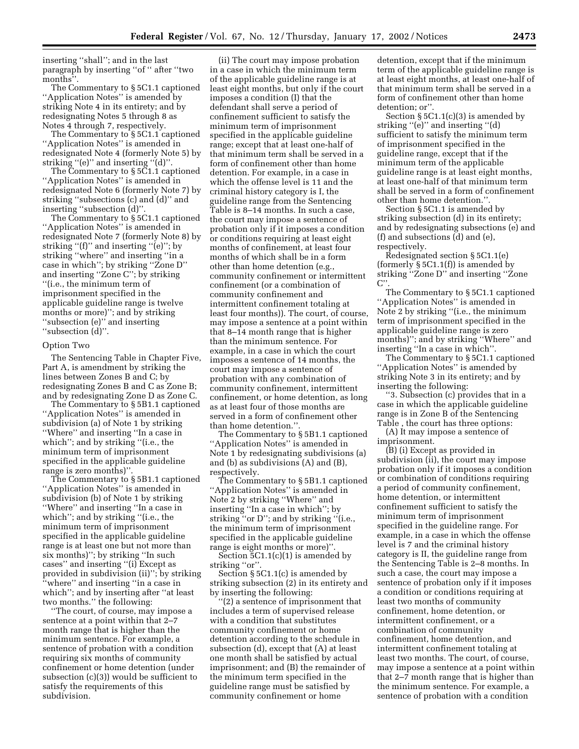inserting ''shall''; and in the last paragraph by inserting ''of '' after ''two months''.

The Commentary to § 5C1.1 captioned ''Application Notes'' is amended by striking Note 4 in its entirety; and by redesignating Notes 5 through 8 as Notes 4 through 7, respectively.

The Commentary to § 5C1.1 captioned ''Application Notes'' is amended in redesignated Note 4 (formerly Note 5) by striking "(e)" and inserting "(d)".

The Commentary to § 5C1.1 captioned ''Application Notes'' is amended in redesignated Note 6 (formerly Note 7) by striking ''subsections (c) and (d)'' and inserting ''subsection (d)''.

The Commentary to § 5C1.1 captioned ''Application Notes'' is amended in redesignated Note 7 (formerly Note 8) by striking ''(f)'' and inserting ''(e)''; by striking ''where'' and inserting ''in a case in which''; by striking ''Zone D'' and inserting ''Zone C''; by striking ''(i.e., the minimum term of imprisonment specified in the applicable guideline range is twelve months or more)''; and by striking ''subsection (e)'' and inserting ''subsection (d)''.

#### Option Two

The Sentencing Table in Chapter Five, Part A, is amendment by striking the lines between Zones B and C; by redesignating Zones B and C as Zone B; and by redesignating Zone D as Zone C.

The Commentary to § 5B1.1 captioned ''Application Notes'' is amended in subdivision (a) of Note 1 by striking ''Where'' and inserting ''In a case in which''; and by striking ''(i.e., the minimum term of imprisonment specified in the applicable guideline range is zero months)''.

The Commentary to § 5B1.1 captioned ''Application Notes'' is amended in subdivision (b) of Note 1 by striking ''Where'' and inserting ''In a case in which"; and by striking "(i.e., the minimum term of imprisonment specified in the applicable guideline range is at least one but not more than six months)''; by striking ''In such cases'' and inserting ''(i) Except as provided in subdivision (ii)''; by striking ''where'' and inserting ''in a case in which''; and by inserting after ''at least two months.'' the following:

''The court, of course, may impose a sentence at a point within that 2–7 month range that is higher than the minimum sentence. For example, a sentence of probation with a condition requiring six months of community confinement or home detention (under subsection (c)(3)) would be sufficient to satisfy the requirements of this subdivision.

(ii) The court may impose probation in a case in which the minimum term of the applicable guideline range is at least eight months, but only if the court imposes a condition (I) that the defendant shall serve a period of confinement sufficient to satisfy the minimum term of imprisonment specified in the applicable guideline range; except that at least one-half of that minimum term shall be served in a form of confinement other than home detention. For example, in a case in which the offense level is 11 and the criminal history category is I, the guideline range from the Sentencing Table is 8–14 months. In such a case, the court may impose a sentence of probation only if it imposes a condition or conditions requiring at least eight months of confinement, at least four months of which shall be in a form other than home detention (e.g., community confinement or intermittent confinement (or a combination of community confinement and intermittent confinement totaling at least four months)). The court, of course, may impose a sentence at a point within that 8–14 month range that is higher than the minimum sentence. For example, in a case in which the court imposes a sentence of 14 months, the court may impose a sentence of probation with any combination of community confinement, intermittent confinement, or home detention, as long as at least four of those months are served in a form of confinement other than home detention."

The Commentary to § 5B1.1 captioned ''Application Notes'' is amended in Note 1 by redesignating subdivisions (a) and (b) as subdivisions (A) and (B), respectively.

The Commentary to § 5B1.1 captioned ''Application Notes'' is amended in Note 2 by striking ''Where'' and inserting ''In a case in which''; by striking ''or D''; and by striking ''(i.e., the minimum term of imprisonment specified in the applicable guideline range is eight months or more)''.

Section 5C1.1(c)(1) is amended by striking "or".

Section § 5C1.1(c) is amended by striking subsection (2) in its entirety and by inserting the following:

(2) a sentence of imprisonment that includes a term of supervised release with a condition that substitutes community confinement or home detention according to the schedule in subsection (d), except that (A) at least one month shall be satisfied by actual imprisonment; and (B) the remainder of the minimum term specified in the guideline range must be satisfied by community confinement or home

detention, except that if the minimum term of the applicable guideline range is at least eight months, at least one-half of that minimum term shall be served in a form of confinement other than home detention; or''.

Section § 5C1.1(c)(3) is amended by striking ''(e)'' and inserting ''(d) sufficient to satisfy the minimum term of imprisonment specified in the guideline range, except that if the minimum term of the applicable guideline range is at least eight months, at least one-half of that minimum term shall be served in a form of confinement other than home detention.''.

Section § 5C1.1 is amended by striking subsection (d) in its entirety; and by redesignating subsections (e) and (f) and subsections (d) and (e), respectively.

Redesignated section § 5C1.1(e) (formerly  $\S$  5C1.1(f)) is amended by striking ''Zone D'' and inserting ''Zone  $C''$ 

The Commentary to § 5C1.1 captioned ''Application Notes'' is amended in Note 2 by striking ''(i.e., the minimum term of imprisonment specified in the applicable guideline range is zero months)''; and by striking ''Where'' and inserting ''In a case in which''.

The Commentary to § 5C1.1 captioned "Application Notes" is amended by striking Note 3 in its entirety; and by inserting the following:

''3. Subsection (c) provides that in a case in which the applicable guideline range is in Zone B of the Sentencing Table , the court has three options:

(A) It may impose a sentence of imprisonment.

(B) (i) Except as provided in subdivision (ii), the court may impose probation only if it imposes a condition or combination of conditions requiring a period of community confinement, home detention, or intermittent confinement sufficient to satisfy the minimum term of imprisonment specified in the guideline range. For example, in a case in which the offense level is 7 and the criminal history category is II, the guideline range from the Sentencing Table is 2–8 months. In such a case, the court may impose a sentence of probation only if it imposes a condition or conditions requiring at least two months of community confinement, home detention, or intermittent confinement, or a combination of community confinement, home detention, and intermittent confinement totaling at least two months. The court, of course, may impose a sentence at a point within that 2–7 month range that is higher than the minimum sentence. For example, a sentence of probation with a condition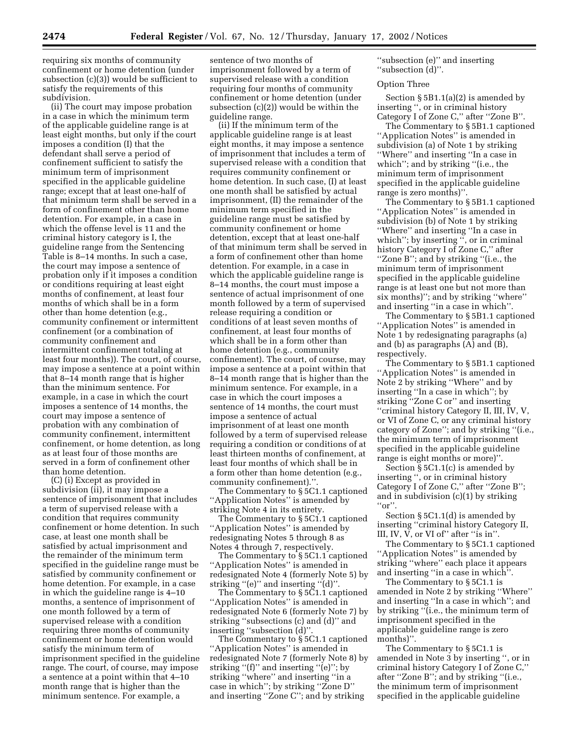requiring six months of community confinement or home detention (under subsection (c)(3)) would be sufficient to satisfy the requirements of this subdivision.

(ii) The court may impose probation in a case in which the minimum term of the applicable guideline range is at least eight months, but only if the court imposes a condition (I) that the defendant shall serve a period of confinement sufficient to satisfy the minimum term of imprisonment specified in the applicable guideline range; except that at least one-half of that minimum term shall be served in a form of confinement other than home detention. For example, in a case in which the offense level is 11 and the criminal history category is I, the guideline range from the Sentencing Table is 8–14 months. In such a case, the court may impose a sentence of probation only if it imposes a condition or conditions requiring at least eight months of confinement, at least four months of which shall be in a form other than home detention (e.g., community confinement or intermittent confinement (or a combination of community confinement and intermittent confinement totaling at least four months)). The court, of course, may impose a sentence at a point within that 8–14 month range that is higher than the minimum sentence. For example, in a case in which the court imposes a sentence of 14 months, the court may impose a sentence of probation with any combination of community confinement, intermittent confinement, or home detention, as long as at least four of those months are served in a form of confinement other than home detention.

(C) (i) Except as provided in subdivision (ii), it may impose a sentence of imprisonment that includes a term of supervised release with a condition that requires community confinement or home detention. In such case, at least one month shall be satisfied by actual imprisonment and the remainder of the minimum term specified in the guideline range must be satisfied by community confinement or home detention. For example, in a case in which the guideline range is 4–10 months, a sentence of imprisonment of one month followed by a term of supervised release with a condition requiring three months of community confinement or home detention would satisfy the minimum term of imprisonment specified in the guideline range. The court, of course, may impose a sentence at a point within that 4–10 month range that is higher than the minimum sentence. For example, a

sentence of two months of imprisonment followed by a term of supervised release with a condition requiring four months of community confinement or home detention (under subsection (c)(2)) would be within the guideline range.

(ii) If the minimum term of the applicable guideline range is at least eight months, it may impose a sentence of imprisonment that includes a term of supervised release with a condition that requires community confinement or home detention. In such case, (I) at least one month shall be satisfied by actual imprisonment, (II) the remainder of the minimum term specified in the guideline range must be satisfied by community confinement or home detention, except that at least one-half of that minimum term shall be served in a form of confinement other than home detention. For example, in a case in which the applicable guideline range is 8–14 months, the court must impose a sentence of actual imprisonment of one month followed by a term of supervised release requiring a condition or conditions of at least seven months of confinement, at least four months of which shall be in a form other than home detention (e.g., community confinement). The court, of course, may impose a sentence at a point within that 8–14 month range that is higher than the minimum sentence. For example, in a case in which the court imposes a sentence of 14 months, the court must impose a sentence of actual imprisonment of at least one month followed by a term of supervised release requiring a condition or conditions of at least thirteen months of confinement, at least four months of which shall be in a form other than home detention (e.g., community confinement)."

The Commentary to § 5C1.1 captioned ''Application Notes'' is amended by striking Note 4 in its entirety.

The Commentary to §5C1.1 captioned ''Application Notes'' is amended by redesignating Notes 5 through 8 as Notes 4 through 7, respectively.

The Commentary to § 5C1.1 captioned ''Application Notes'' is amended in redesignated Note 4 (formerly Note 5) by striking "(e)" and inserting "(d)".

The Commentary to § 5C1.1 captioned ''Application Notes'' is amended in redesignated Note 6 (formerly Note 7) by striking ''subsections (c) and (d)'' and inserting ''subsection (d)''.

The Commentary to § 5C1.1 captioned ''Application Notes'' is amended in redesignated Note 7 (formerly Note 8) by striking "(f)" and inserting "(e)"; by striking ''where'' and inserting ''in a case in which''; by striking ''Zone D'' and inserting ''Zone C''; and by striking

''subsection (e)'' and inserting ''subsection (d)''.

### Option Three

Section § 5B1.1(a)(2) is amended by inserting '', or in criminal history Category I of Zone C,'' after ''Zone B''.

The Commentary to § 5B1.1 captioned ''Application Notes'' is amended in subdivision (a) of Note 1 by striking ''Where'' and inserting ''In a case in which"; and by striking "(i.e., the minimum term of imprisonment specified in the applicable guideline range is zero months)''.

The Commentary to § 5B1.1 captioned ''Application Notes'' is amended in subdivision (b) of Note 1 by striking ''Where'' and inserting ''In a case in which''; by inserting '', or in criminal history Category I of Zone C,'' after ''Zone B''; and by striking ''(i.e., the minimum term of imprisonment specified in the applicable guideline range is at least one but not more than six months)''; and by striking ''where'' and inserting ''in a case in which''.

The Commentary to § 5B1.1 captioned ''Application Notes'' is amended in Note 1 by redesignating paragraphs (a) and (b) as paragraphs (A) and (B), respectively.

The Commentary to § 5B1.1 captioned ''Application Notes'' is amended in Note 2 by striking ''Where'' and by inserting ''In a case in which''; by striking ''Zone C or'' and inserting ''criminal history Category II, III, IV, V, or VI of Zone C, or any criminal history category of Zone''; and by striking ''(i.e., the minimum term of imprisonment specified in the applicable guideline range is eight months or more)''.

Section § 5C1.1(c) is amended by inserting '', or in criminal history Category I of Zone C,'' after ''Zone B''; and in subdivision (c)(1) by striking  $"or"$ .

Section § 5C1.1(d) is amended by inserting ''criminal history Category II, III, IV, V, or VI of'' after ''is in''.

The Commentary to § 5C1.1 captioned ''Application Notes'' is amended by striking ''where'' each place it appears and inserting ''in a case in which''.

The Commentary to § 5C1.1 is amended in Note 2 by striking ''Where'' and inserting ''In a case in which''; and by striking ''(i.e., the minimum term of imprisonment specified in the applicable guideline range is zero months)''.

The Commentary to § 5C1.1 is amended in Note 3 by inserting '', or in criminal history Category I of Zone C,'' after ''Zone B''; and by striking ''(i.e., the minimum term of imprisonment specified in the applicable guideline